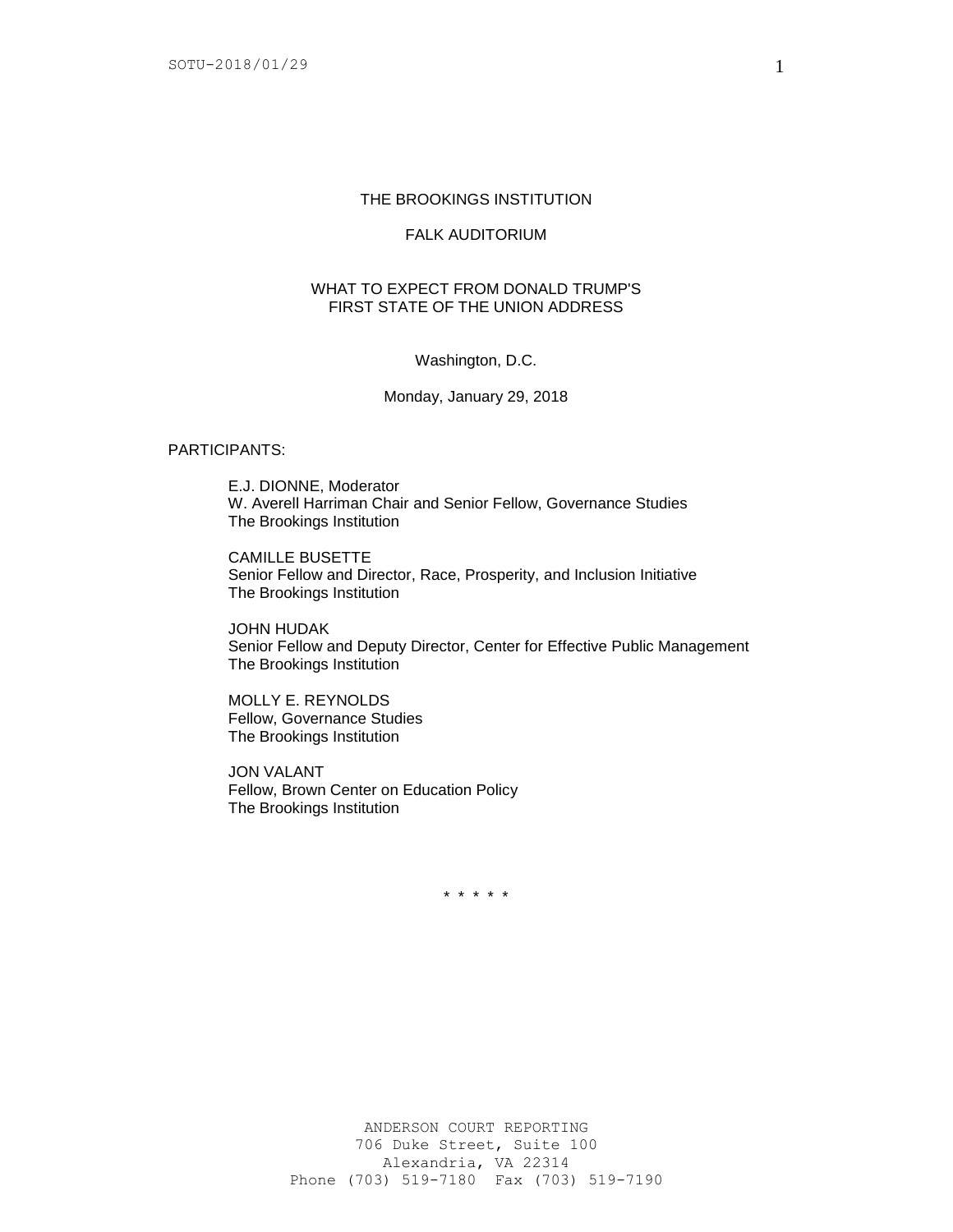# THE BROOKINGS INSTITUTION

### FALK AUDITORIUM

# WHAT TO EXPECT FROM DONALD TRUMP'S FIRST STATE OF THE UNION ADDRESS

#### Washington, D.C.

#### Monday, January 29, 2018

## PARTICIPANTS:

E.J. DIONNE, Moderator W. Averell Harriman Chair and Senior Fellow, Governance Studies The Brookings Institution

CAMILLE BUSETTE Senior Fellow and Director, Race, Prosperity, and Inclusion Initiative The Brookings Institution

JOHN HUDAK Senior Fellow and Deputy Director, Center for Effective Public Management The Brookings Institution

MOLLY E. REYNOLDS Fellow, Governance Studies The Brookings Institution

JON VALANT Fellow, Brown Center on Education Policy The Brookings Institution

\* \* \* \* \*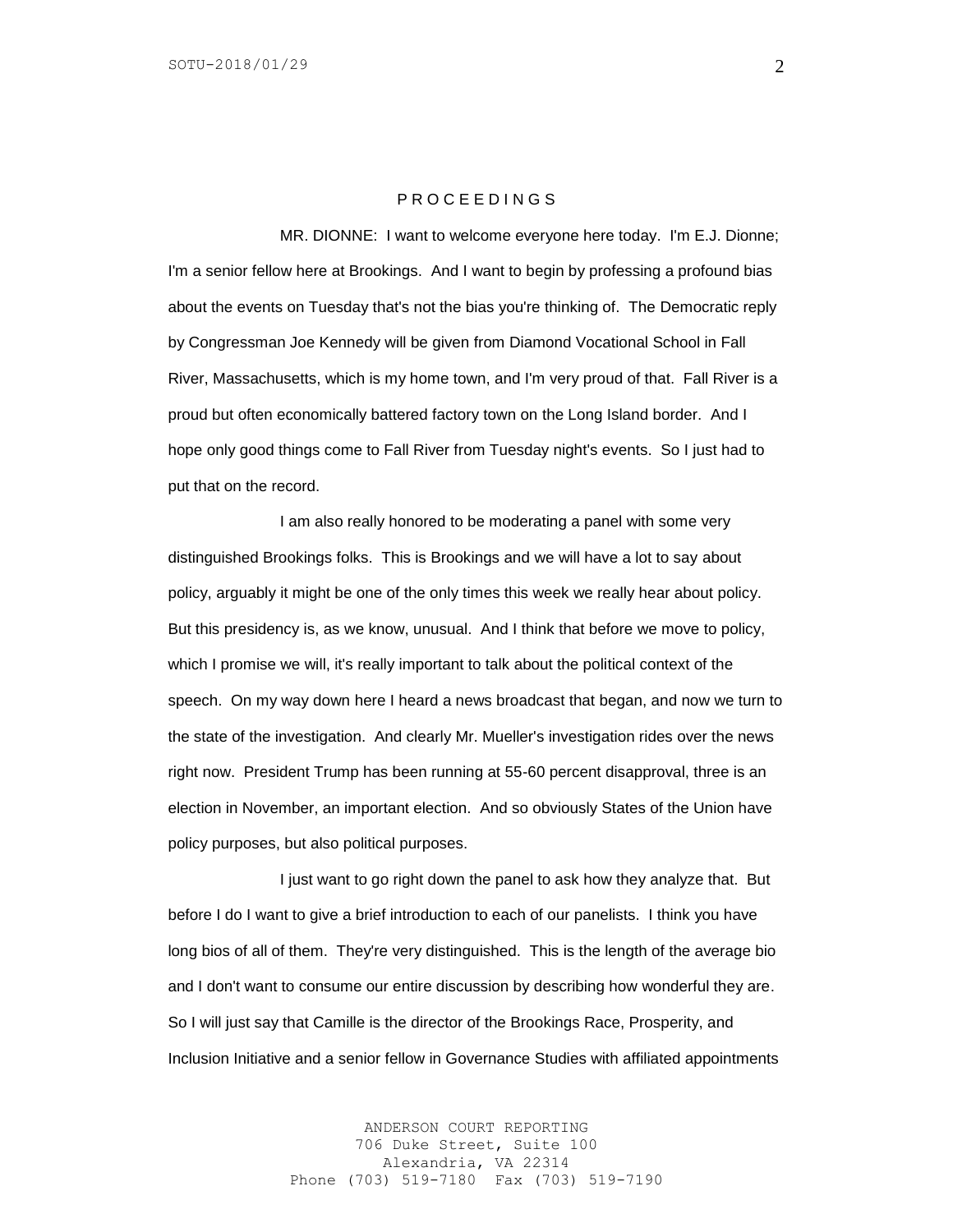## P R O C E E D I N G S

MR. DIONNE: I want to welcome everyone here today. I'm E.J. Dionne; I'm a senior fellow here at Brookings. And I want to begin by professing a profound bias about the events on Tuesday that's not the bias you're thinking of. The Democratic reply by Congressman Joe Kennedy will be given from Diamond Vocational School in Fall River, Massachusetts, which is my home town, and I'm very proud of that. Fall River is a proud but often economically battered factory town on the Long Island border. And I hope only good things come to Fall River from Tuesday night's events. So I just had to put that on the record.

I am also really honored to be moderating a panel with some very distinguished Brookings folks. This is Brookings and we will have a lot to say about policy, arguably it might be one of the only times this week we really hear about policy. But this presidency is, as we know, unusual. And I think that before we move to policy, which I promise we will, it's really important to talk about the political context of the speech. On my way down here I heard a news broadcast that began, and now we turn to the state of the investigation. And clearly Mr. Mueller's investigation rides over the news right now. President Trump has been running at 55-60 percent disapproval, three is an election in November, an important election. And so obviously States of the Union have policy purposes, but also political purposes.

I just want to go right down the panel to ask how they analyze that. But before I do I want to give a brief introduction to each of our panelists. I think you have long bios of all of them. They're very distinguished. This is the length of the average bio and I don't want to consume our entire discussion by describing how wonderful they are. So I will just say that Camille is the director of the Brookings Race, Prosperity, and Inclusion Initiative and a senior fellow in Governance Studies with affiliated appointments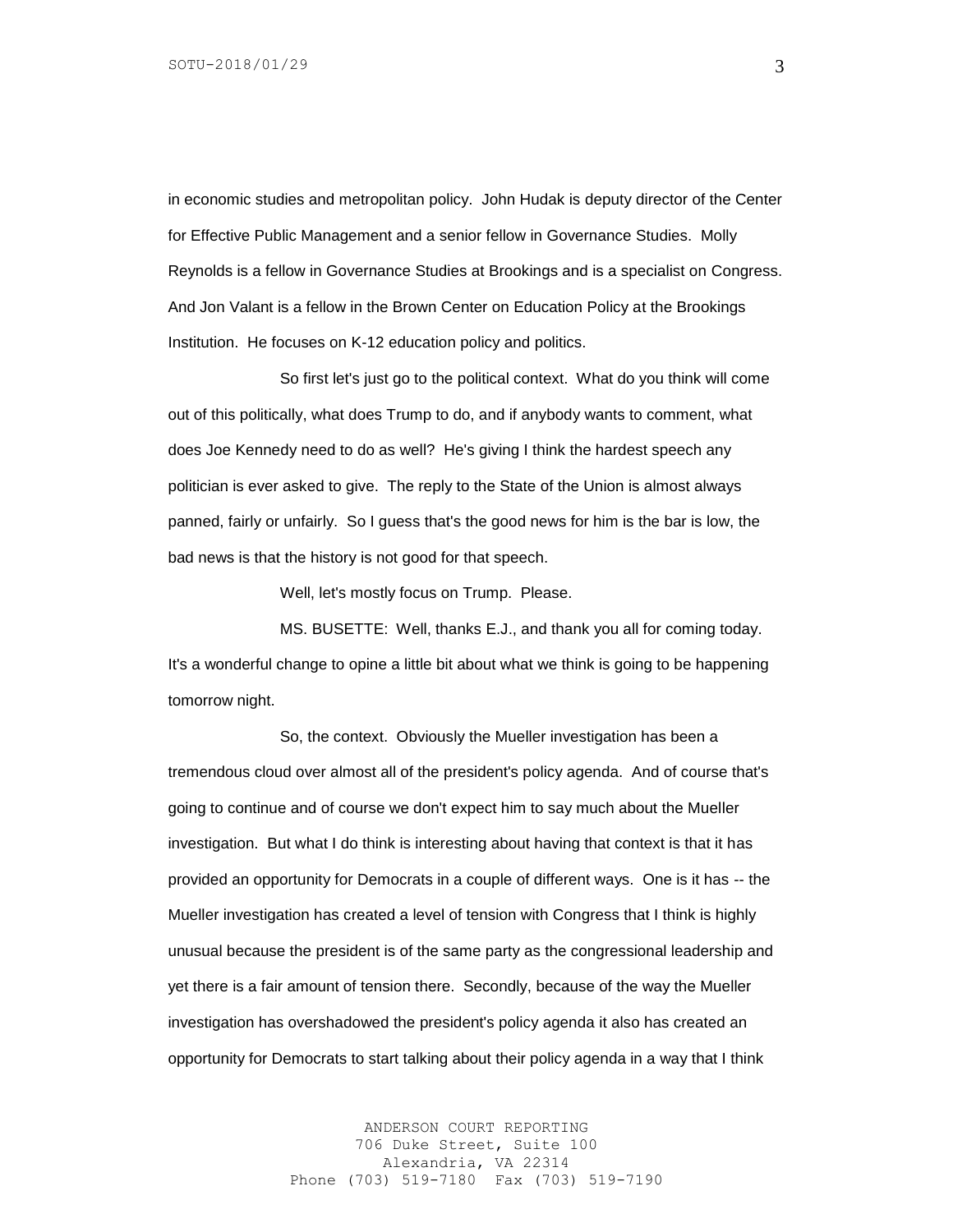in economic studies and metropolitan policy. John Hudak is deputy director of the Center for Effective Public Management and a senior fellow in Governance Studies. Molly Reynolds is a fellow in Governance Studies at Brookings and is a specialist on Congress. And Jon Valant is a fellow in the Brown Center on Education Policy at the Brookings Institution. He focuses on K-12 education policy and politics.

So first let's just go to the political context. What do you think will come out of this politically, what does Trump to do, and if anybody wants to comment, what does Joe Kennedy need to do as well? He's giving I think the hardest speech any politician is ever asked to give. The reply to the State of the Union is almost always panned, fairly or unfairly. So I guess that's the good news for him is the bar is low, the bad news is that the history is not good for that speech.

Well, let's mostly focus on Trump. Please.

MS. BUSETTE: Well, thanks E.J., and thank you all for coming today. It's a wonderful change to opine a little bit about what we think is going to be happening tomorrow night.

So, the context. Obviously the Mueller investigation has been a tremendous cloud over almost all of the president's policy agenda. And of course that's going to continue and of course we don't expect him to say much about the Mueller investigation. But what I do think is interesting about having that context is that it has provided an opportunity for Democrats in a couple of different ways. One is it has -- the Mueller investigation has created a level of tension with Congress that I think is highly unusual because the president is of the same party as the congressional leadership and yet there is a fair amount of tension there. Secondly, because of the way the Mueller investigation has overshadowed the president's policy agenda it also has created an opportunity for Democrats to start talking about their policy agenda in a way that I think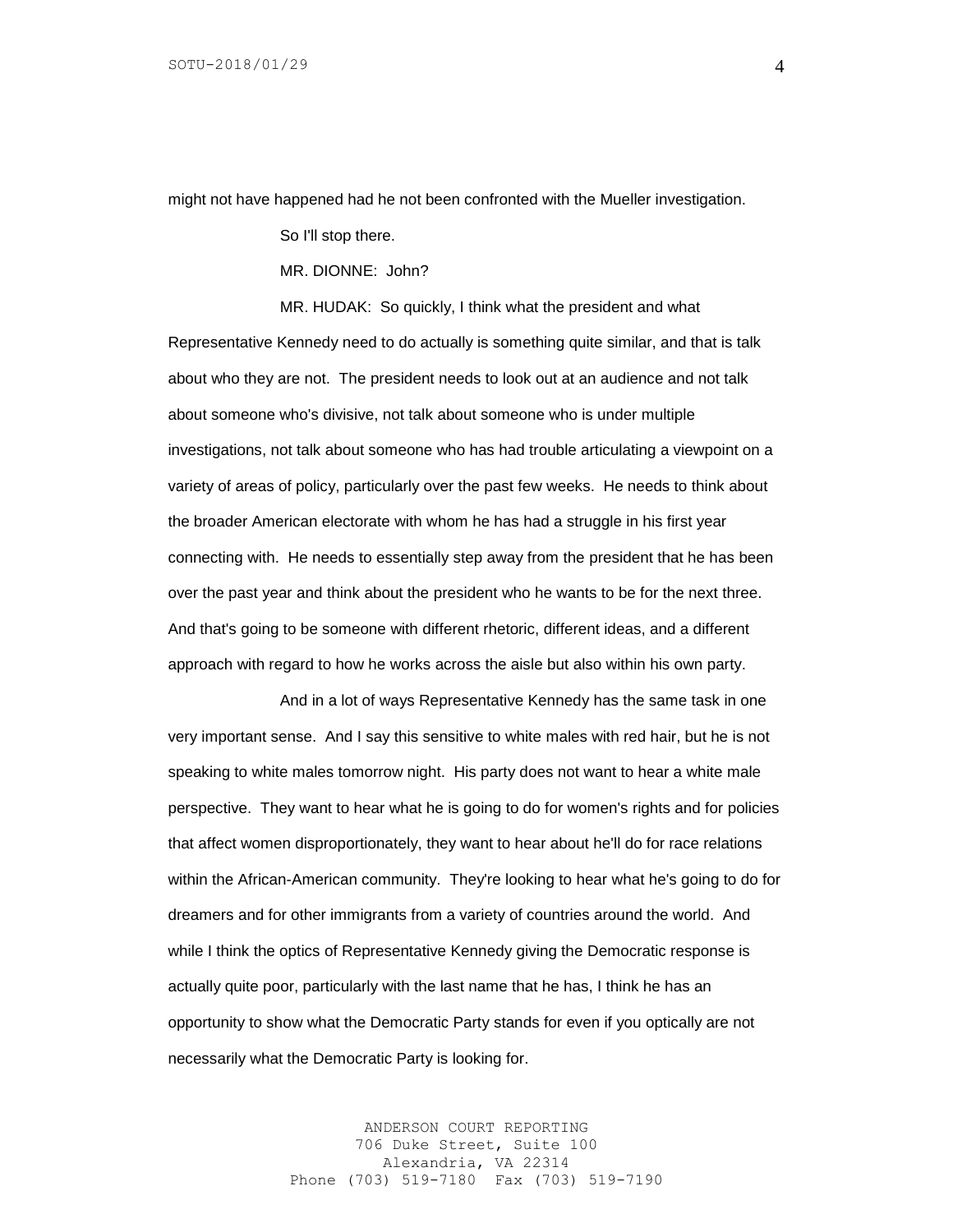might not have happened had he not been confronted with the Mueller investigation.

So I'll stop there.

MR. DIONNE: John?

MR. HUDAK: So quickly, I think what the president and what Representative Kennedy need to do actually is something quite similar, and that is talk about who they are not. The president needs to look out at an audience and not talk about someone who's divisive, not talk about someone who is under multiple investigations, not talk about someone who has had trouble articulating a viewpoint on a variety of areas of policy, particularly over the past few weeks. He needs to think about the broader American electorate with whom he has had a struggle in his first year connecting with. He needs to essentially step away from the president that he has been over the past year and think about the president who he wants to be for the next three. And that's going to be someone with different rhetoric, different ideas, and a different approach with regard to how he works across the aisle but also within his own party.

And in a lot of ways Representative Kennedy has the same task in one very important sense. And I say this sensitive to white males with red hair, but he is not speaking to white males tomorrow night. His party does not want to hear a white male perspective. They want to hear what he is going to do for women's rights and for policies that affect women disproportionately, they want to hear about he'll do for race relations within the African-American community. They're looking to hear what he's going to do for dreamers and for other immigrants from a variety of countries around the world. And while I think the optics of Representative Kennedy giving the Democratic response is actually quite poor, particularly with the last name that he has, I think he has an opportunity to show what the Democratic Party stands for even if you optically are not necessarily what the Democratic Party is looking for.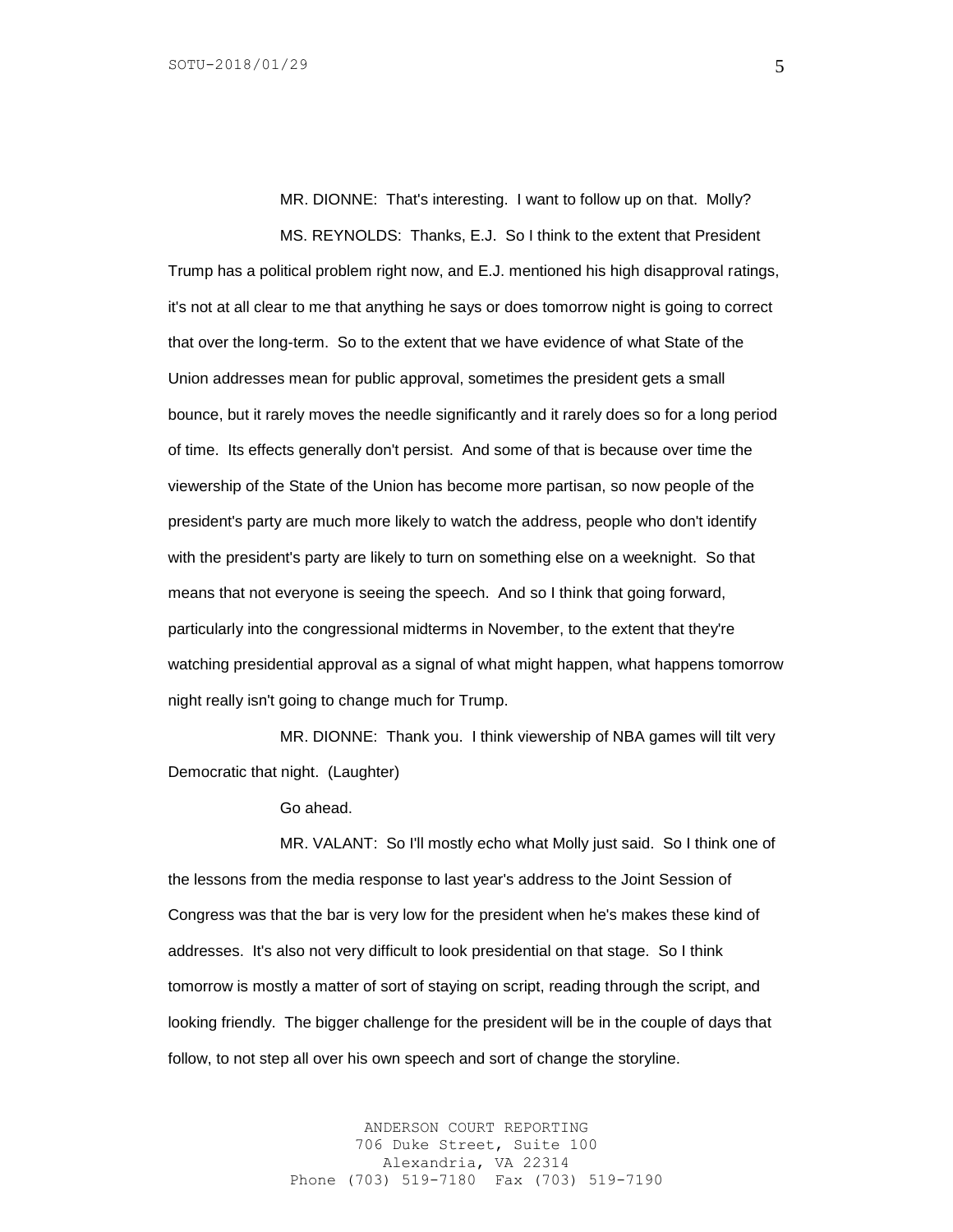MR. DIONNE: That's interesting. I want to follow up on that. Molly? MS. REYNOLDS: Thanks, E.J. So I think to the extent that President

Trump has a political problem right now, and E.J. mentioned his high disapproval ratings, it's not at all clear to me that anything he says or does tomorrow night is going to correct that over the long-term. So to the extent that we have evidence of what State of the Union addresses mean for public approval, sometimes the president gets a small bounce, but it rarely moves the needle significantly and it rarely does so for a long period of time. Its effects generally don't persist. And some of that is because over time the viewership of the State of the Union has become more partisan, so now people of the president's party are much more likely to watch the address, people who don't identify with the president's party are likely to turn on something else on a weeknight. So that means that not everyone is seeing the speech. And so I think that going forward, particularly into the congressional midterms in November, to the extent that they're watching presidential approval as a signal of what might happen, what happens tomorrow night really isn't going to change much for Trump.

MR. DIONNE: Thank you. I think viewership of NBA games will tilt very Democratic that night. (Laughter)

Go ahead.

MR. VALANT: So I'll mostly echo what Molly just said. So I think one of the lessons from the media response to last year's address to the Joint Session of Congress was that the bar is very low for the president when he's makes these kind of addresses. It's also not very difficult to look presidential on that stage. So I think tomorrow is mostly a matter of sort of staying on script, reading through the script, and looking friendly. The bigger challenge for the president will be in the couple of days that follow, to not step all over his own speech and sort of change the storyline.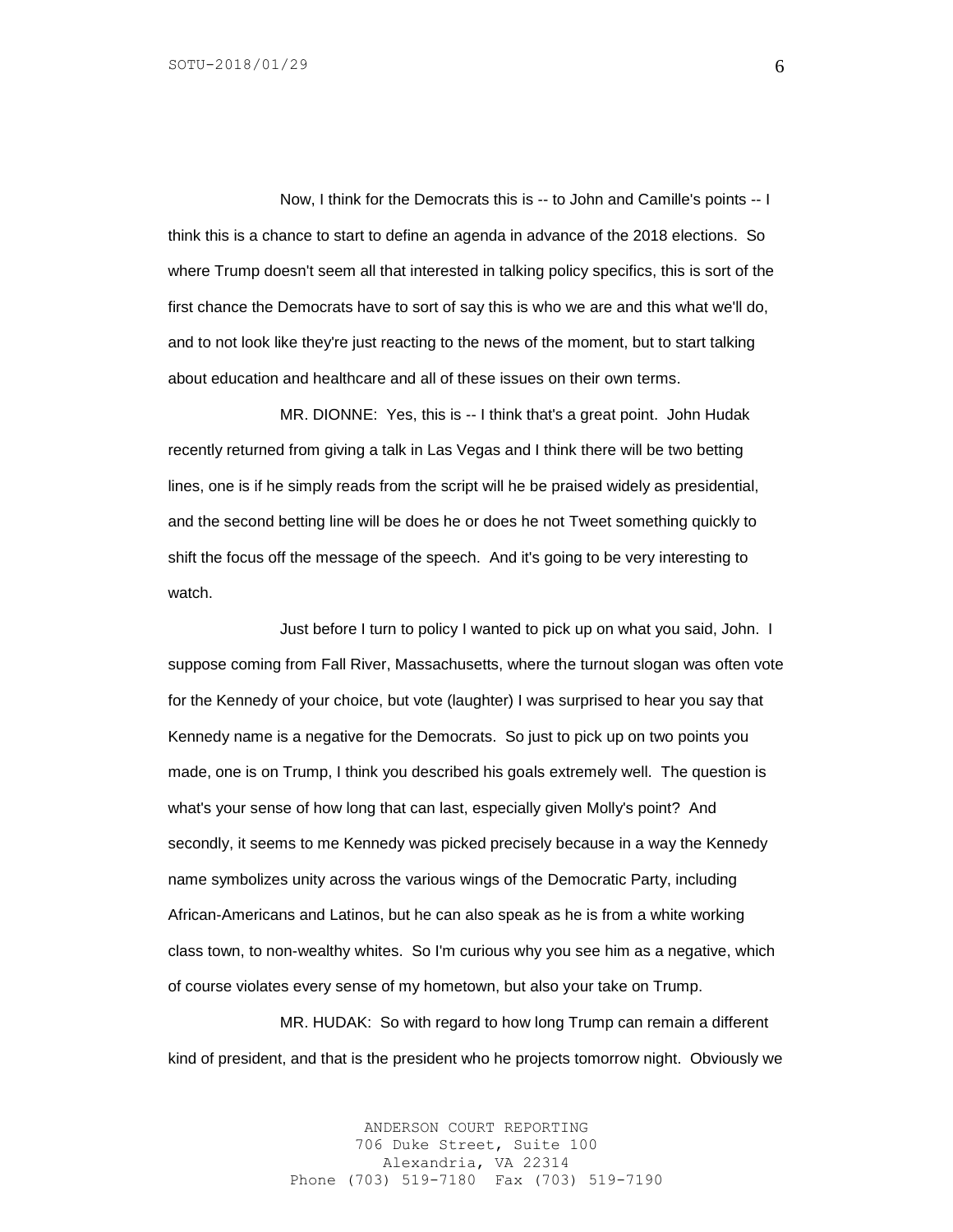Now, I think for the Democrats this is -- to John and Camille's points -- I think this is a chance to start to define an agenda in advance of the 2018 elections. So where Trump doesn't seem all that interested in talking policy specifics, this is sort of the first chance the Democrats have to sort of say this is who we are and this what we'll do, and to not look like they're just reacting to the news of the moment, but to start talking about education and healthcare and all of these issues on their own terms.

MR. DIONNE: Yes, this is -- I think that's a great point. John Hudak recently returned from giving a talk in Las Vegas and I think there will be two betting lines, one is if he simply reads from the script will he be praised widely as presidential, and the second betting line will be does he or does he not Tweet something quickly to shift the focus off the message of the speech. And it's going to be very interesting to watch.

Just before I turn to policy I wanted to pick up on what you said, John. I suppose coming from Fall River, Massachusetts, where the turnout slogan was often vote for the Kennedy of your choice, but vote (laughter) I was surprised to hear you say that Kennedy name is a negative for the Democrats. So just to pick up on two points you made, one is on Trump, I think you described his goals extremely well. The question is what's your sense of how long that can last, especially given Molly's point? And secondly, it seems to me Kennedy was picked precisely because in a way the Kennedy name symbolizes unity across the various wings of the Democratic Party, including African-Americans and Latinos, but he can also speak as he is from a white working class town, to non-wealthy whites. So I'm curious why you see him as a negative, which of course violates every sense of my hometown, but also your take on Trump.

MR. HUDAK: So with regard to how long Trump can remain a different kind of president, and that is the president who he projects tomorrow night. Obviously we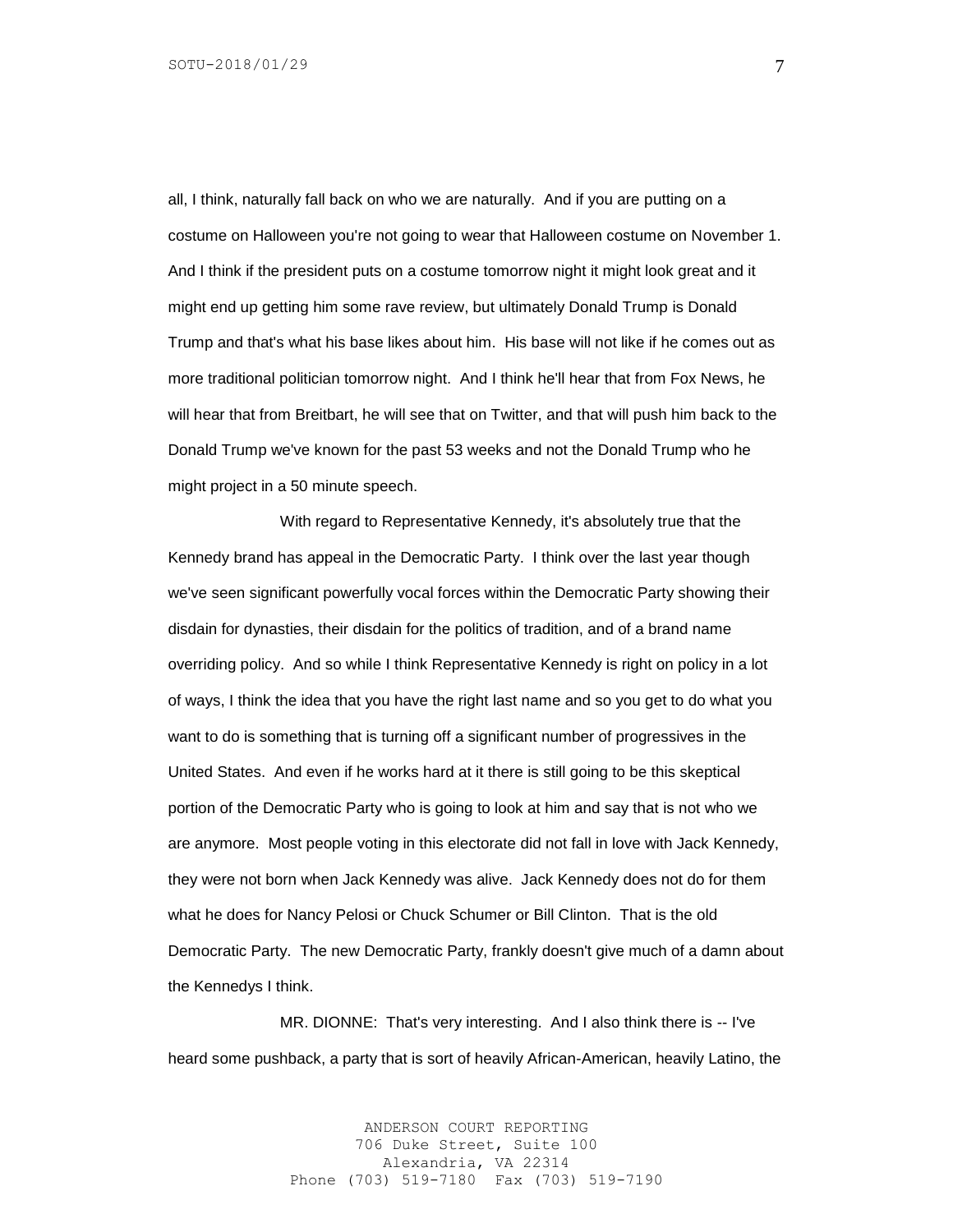all, I think, naturally fall back on who we are naturally. And if you are putting on a costume on Halloween you're not going to wear that Halloween costume on November 1. And I think if the president puts on a costume tomorrow night it might look great and it might end up getting him some rave review, but ultimately Donald Trump is Donald Trump and that's what his base likes about him. His base will not like if he comes out as more traditional politician tomorrow night. And I think he'll hear that from Fox News, he will hear that from Breitbart, he will see that on Twitter, and that will push him back to the Donald Trump we've known for the past 53 weeks and not the Donald Trump who he might project in a 50 minute speech.

With regard to Representative Kennedy, it's absolutely true that the Kennedy brand has appeal in the Democratic Party. I think over the last year though we've seen significant powerfully vocal forces within the Democratic Party showing their disdain for dynasties, their disdain for the politics of tradition, and of a brand name overriding policy. And so while I think Representative Kennedy is right on policy in a lot of ways, I think the idea that you have the right last name and so you get to do what you want to do is something that is turning off a significant number of progressives in the United States. And even if he works hard at it there is still going to be this skeptical portion of the Democratic Party who is going to look at him and say that is not who we are anymore. Most people voting in this electorate did not fall in love with Jack Kennedy, they were not born when Jack Kennedy was alive. Jack Kennedy does not do for them what he does for Nancy Pelosi or Chuck Schumer or Bill Clinton. That is the old Democratic Party. The new Democratic Party, frankly doesn't give much of a damn about the Kennedys I think.

MR. DIONNE: That's very interesting. And I also think there is -- I've heard some pushback, a party that is sort of heavily African-American, heavily Latino, the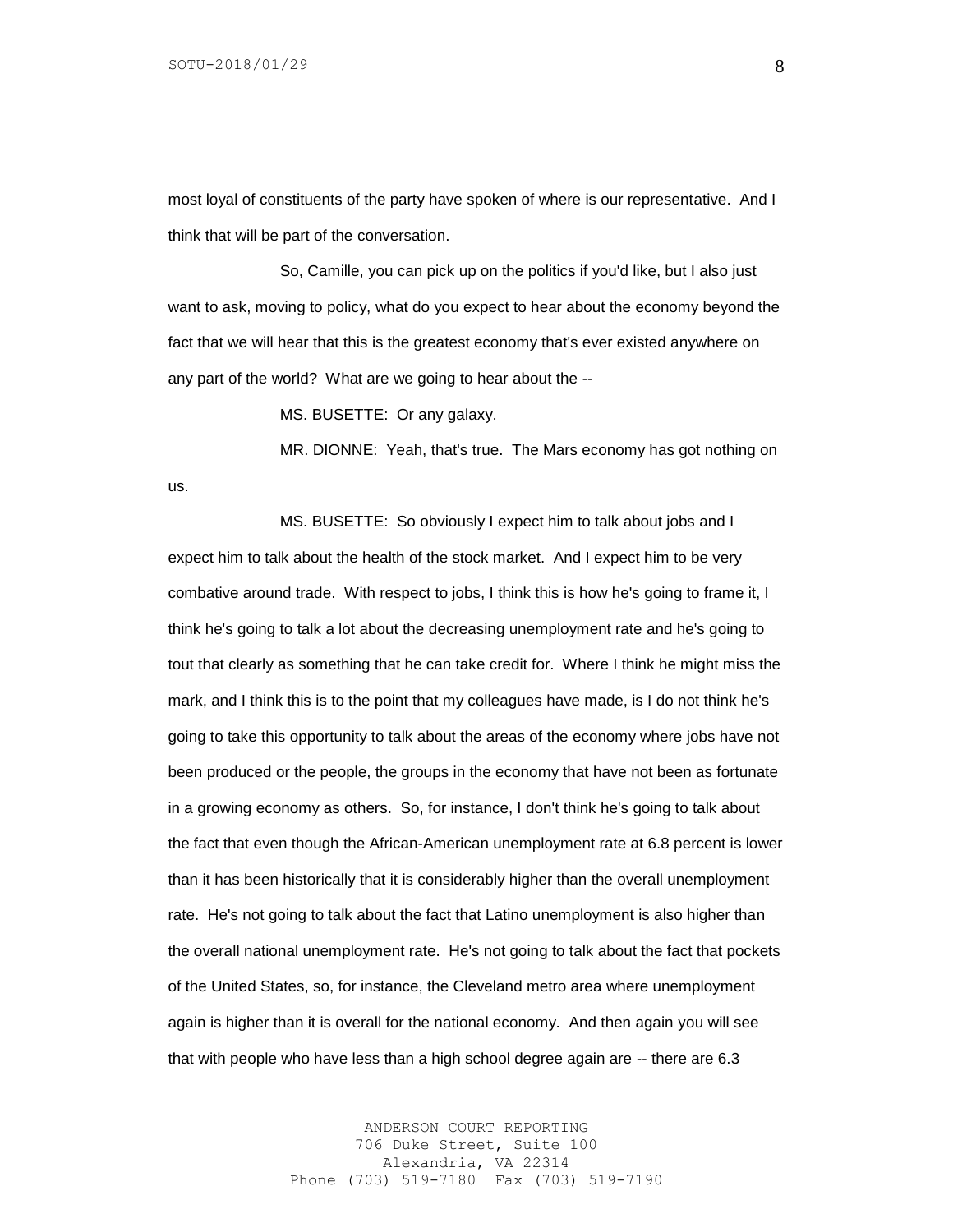us.

most loyal of constituents of the party have spoken of where is our representative. And I think that will be part of the conversation.

So, Camille, you can pick up on the politics if you'd like, but I also just want to ask, moving to policy, what do you expect to hear about the economy beyond the fact that we will hear that this is the greatest economy that's ever existed anywhere on any part of the world? What are we going to hear about the --

MS. BUSETTE: Or any galaxy.

MR. DIONNE: Yeah, that's true. The Mars economy has got nothing on

MS. BUSETTE: So obviously I expect him to talk about jobs and I expect him to talk about the health of the stock market. And I expect him to be very combative around trade. With respect to jobs, I think this is how he's going to frame it, I think he's going to talk a lot about the decreasing unemployment rate and he's going to tout that clearly as something that he can take credit for. Where I think he might miss the mark, and I think this is to the point that my colleagues have made, is I do not think he's going to take this opportunity to talk about the areas of the economy where jobs have not been produced or the people, the groups in the economy that have not been as fortunate in a growing economy as others. So, for instance, I don't think he's going to talk about the fact that even though the African-American unemployment rate at 6.8 percent is lower than it has been historically that it is considerably higher than the overall unemployment rate. He's not going to talk about the fact that Latino unemployment is also higher than the overall national unemployment rate. He's not going to talk about the fact that pockets of the United States, so, for instance, the Cleveland metro area where unemployment again is higher than it is overall for the national economy. And then again you will see that with people who have less than a high school degree again are -- there are 6.3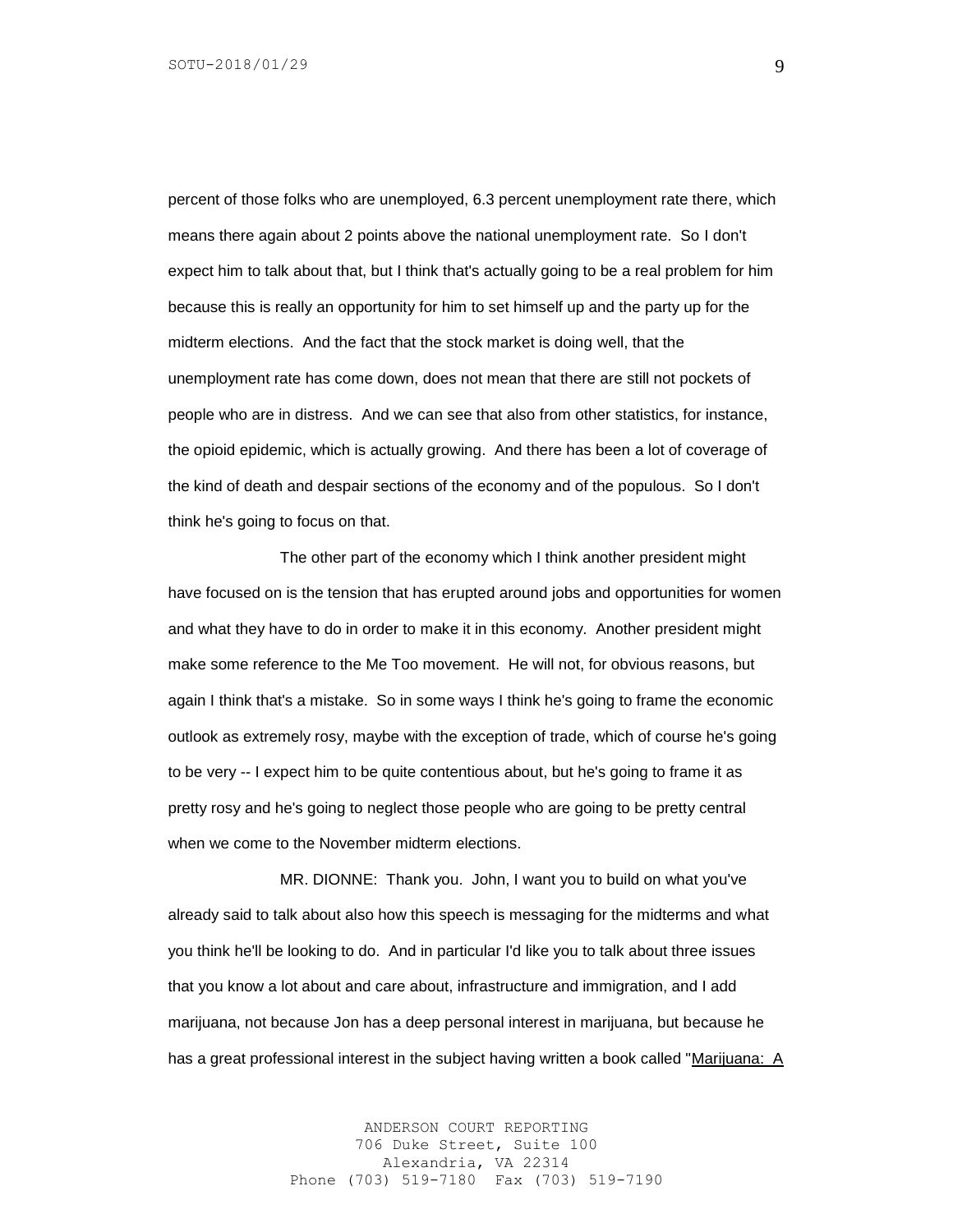percent of those folks who are unemployed, 6.3 percent unemployment rate there, which means there again about 2 points above the national unemployment rate. So I don't expect him to talk about that, but I think that's actually going to be a real problem for him because this is really an opportunity for him to set himself up and the party up for the midterm elections. And the fact that the stock market is doing well, that the unemployment rate has come down, does not mean that there are still not pockets of people who are in distress. And we can see that also from other statistics, for instance, the opioid epidemic, which is actually growing. And there has been a lot of coverage of the kind of death and despair sections of the economy and of the populous. So I don't think he's going to focus on that.

The other part of the economy which I think another president might have focused on is the tension that has erupted around jobs and opportunities for women and what they have to do in order to make it in this economy. Another president might make some reference to the Me Too movement. He will not, for obvious reasons, but again I think that's a mistake. So in some ways I think he's going to frame the economic outlook as extremely rosy, maybe with the exception of trade, which of course he's going to be very -- I expect him to be quite contentious about, but he's going to frame it as pretty rosy and he's going to neglect those people who are going to be pretty central when we come to the November midterm elections.

MR. DIONNE: Thank you. John, I want you to build on what you've already said to talk about also how this speech is messaging for the midterms and what you think he'll be looking to do. And in particular I'd like you to talk about three issues that you know a lot about and care about, infrastructure and immigration, and I add marijuana, not because Jon has a deep personal interest in marijuana, but because he has a great professional interest in the subject having written a book called "Marijuana: A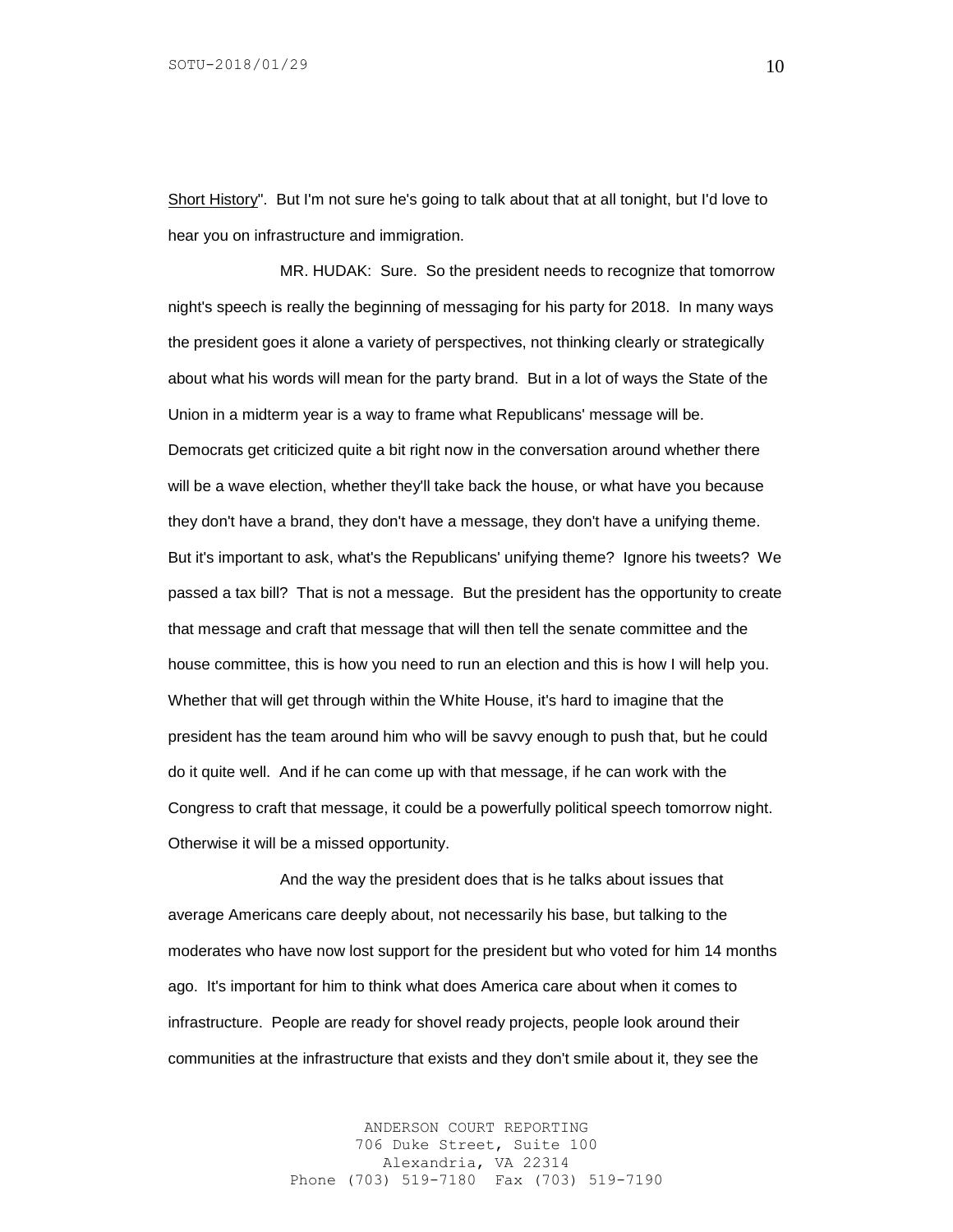Short History". But I'm not sure he's going to talk about that at all tonight, but I'd love to hear you on infrastructure and immigration.

MR. HUDAK: Sure. So the president needs to recognize that tomorrow night's speech is really the beginning of messaging for his party for 2018. In many ways the president goes it alone a variety of perspectives, not thinking clearly or strategically about what his words will mean for the party brand. But in a lot of ways the State of the Union in a midterm year is a way to frame what Republicans' message will be. Democrats get criticized quite a bit right now in the conversation around whether there will be a wave election, whether they'll take back the house, or what have you because they don't have a brand, they don't have a message, they don't have a unifying theme. But it's important to ask, what's the Republicans' unifying theme? Ignore his tweets? We passed a tax bill? That is not a message. But the president has the opportunity to create that message and craft that message that will then tell the senate committee and the house committee, this is how you need to run an election and this is how I will help you. Whether that will get through within the White House, it's hard to imagine that the president has the team around him who will be savvy enough to push that, but he could do it quite well. And if he can come up with that message, if he can work with the Congress to craft that message, it could be a powerfully political speech tomorrow night. Otherwise it will be a missed opportunity.

And the way the president does that is he talks about issues that average Americans care deeply about, not necessarily his base, but talking to the moderates who have now lost support for the president but who voted for him 14 months ago. It's important for him to think what does America care about when it comes to infrastructure. People are ready for shovel ready projects, people look around their communities at the infrastructure that exists and they don't smile about it, they see the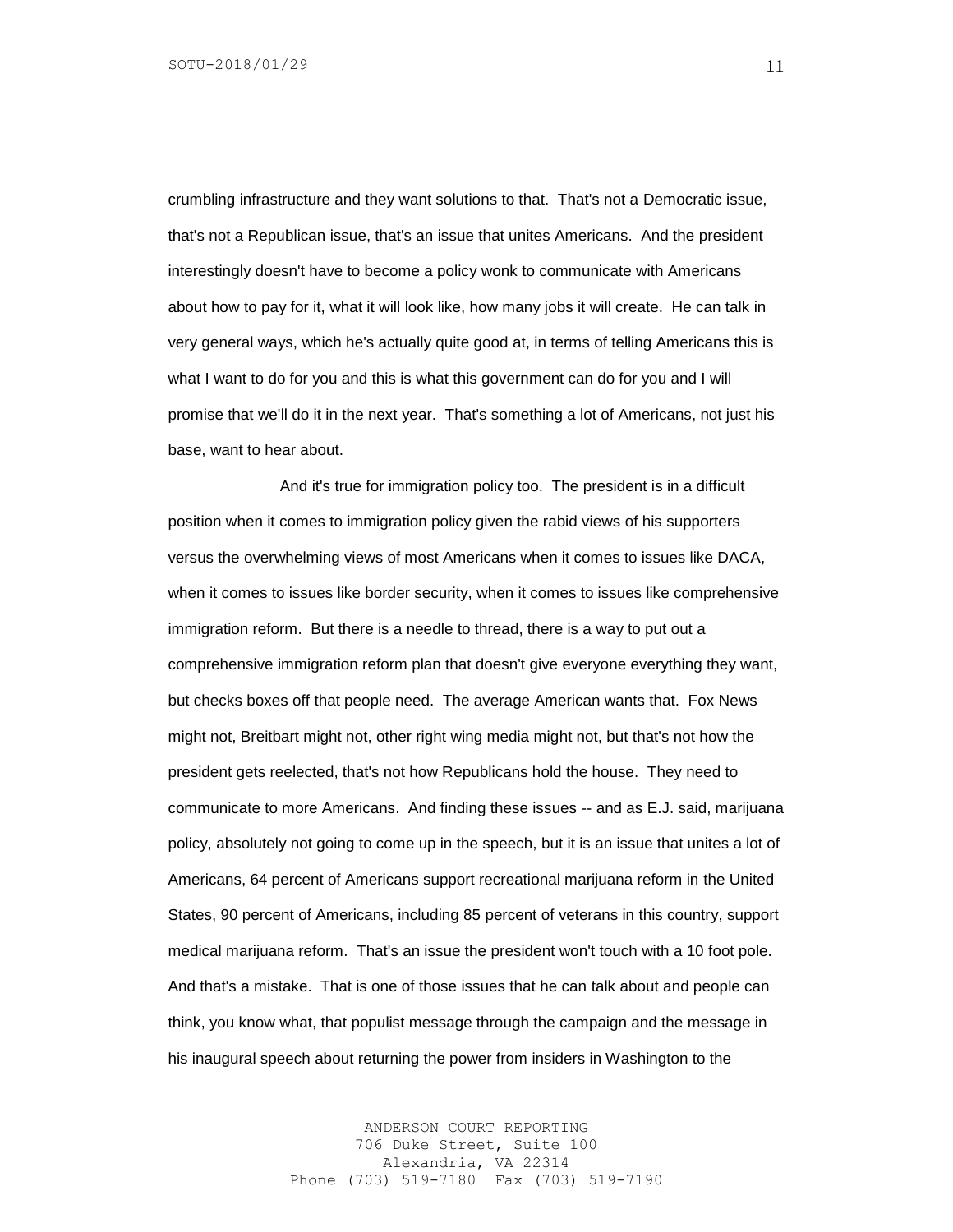crumbling infrastructure and they want solutions to that. That's not a Democratic issue, that's not a Republican issue, that's an issue that unites Americans. And the president interestingly doesn't have to become a policy wonk to communicate with Americans about how to pay for it, what it will look like, how many jobs it will create. He can talk in very general ways, which he's actually quite good at, in terms of telling Americans this is what I want to do for you and this is what this government can do for you and I will promise that we'll do it in the next year. That's something a lot of Americans, not just his base, want to hear about.

And it's true for immigration policy too. The president is in a difficult position when it comes to immigration policy given the rabid views of his supporters versus the overwhelming views of most Americans when it comes to issues like DACA, when it comes to issues like border security, when it comes to issues like comprehensive immigration reform. But there is a needle to thread, there is a way to put out a comprehensive immigration reform plan that doesn't give everyone everything they want, but checks boxes off that people need. The average American wants that. Fox News might not, Breitbart might not, other right wing media might not, but that's not how the president gets reelected, that's not how Republicans hold the house. They need to communicate to more Americans. And finding these issues -- and as E.J. said, marijuana policy, absolutely not going to come up in the speech, but it is an issue that unites a lot of Americans, 64 percent of Americans support recreational marijuana reform in the United States, 90 percent of Americans, including 85 percent of veterans in this country, support medical marijuana reform. That's an issue the president won't touch with a 10 foot pole. And that's a mistake. That is one of those issues that he can talk about and people can think, you know what, that populist message through the campaign and the message in his inaugural speech about returning the power from insiders in Washington to the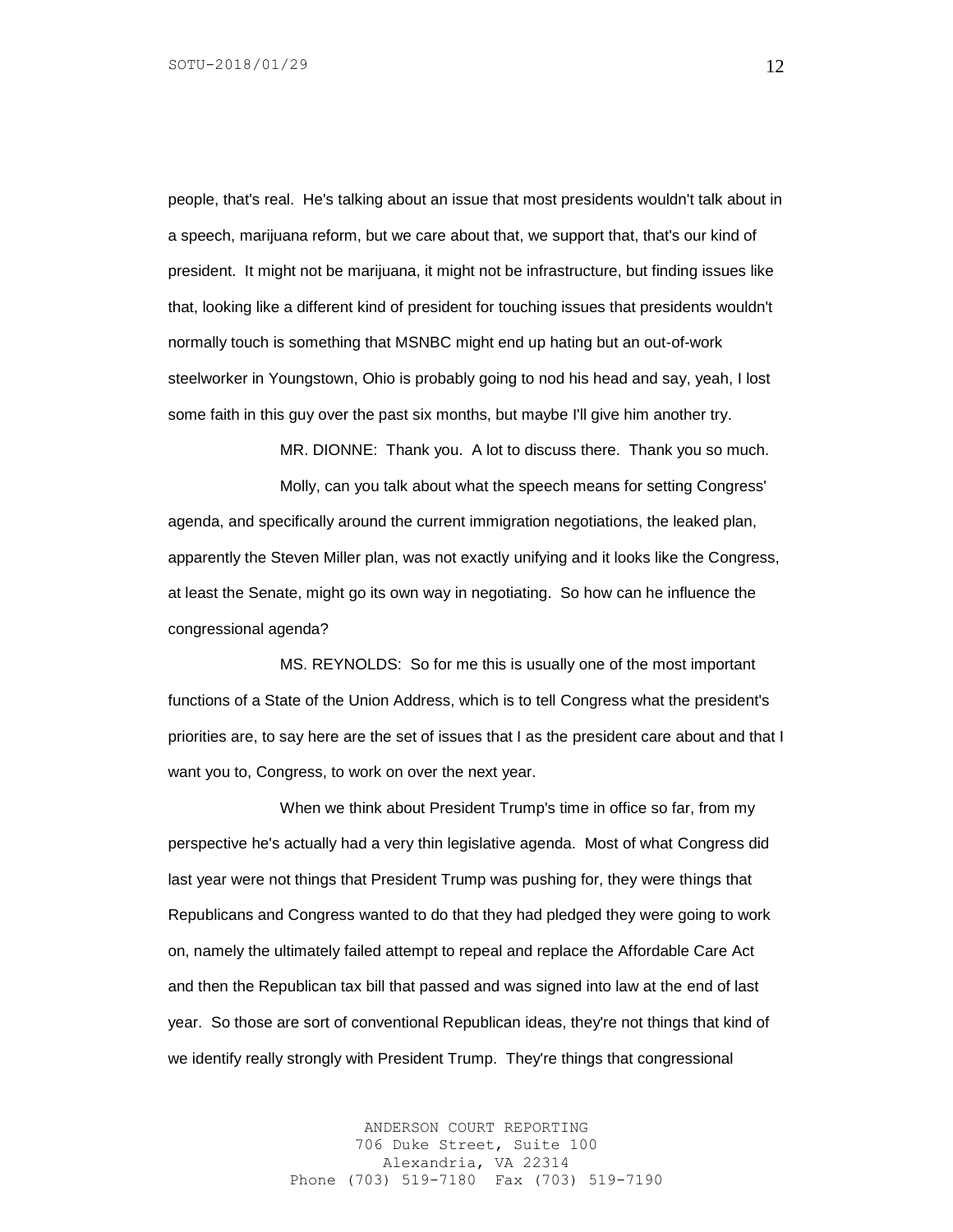people, that's real. He's talking about an issue that most presidents wouldn't talk about in a speech, marijuana reform, but we care about that, we support that, that's our kind of president. It might not be marijuana, it might not be infrastructure, but finding issues like that, looking like a different kind of president for touching issues that presidents wouldn't normally touch is something that MSNBC might end up hating but an out-of-work steelworker in Youngstown, Ohio is probably going to nod his head and say, yeah, I lost some faith in this guy over the past six months, but maybe I'll give him another try.

MR. DIONNE: Thank you. A lot to discuss there. Thank you so much.

Molly, can you talk about what the speech means for setting Congress' agenda, and specifically around the current immigration negotiations, the leaked plan, apparently the Steven Miller plan, was not exactly unifying and it looks like the Congress, at least the Senate, might go its own way in negotiating. So how can he influence the congressional agenda?

MS. REYNOLDS: So for me this is usually one of the most important functions of a State of the Union Address, which is to tell Congress what the president's priorities are, to say here are the set of issues that I as the president care about and that I want you to, Congress, to work on over the next year.

When we think about President Trump's time in office so far, from my perspective he's actually had a very thin legislative agenda. Most of what Congress did last year were not things that President Trump was pushing for, they were things that Republicans and Congress wanted to do that they had pledged they were going to work on, namely the ultimately failed attempt to repeal and replace the Affordable Care Act and then the Republican tax bill that passed and was signed into law at the end of last year. So those are sort of conventional Republican ideas, they're not things that kind of we identify really strongly with President Trump. They're things that congressional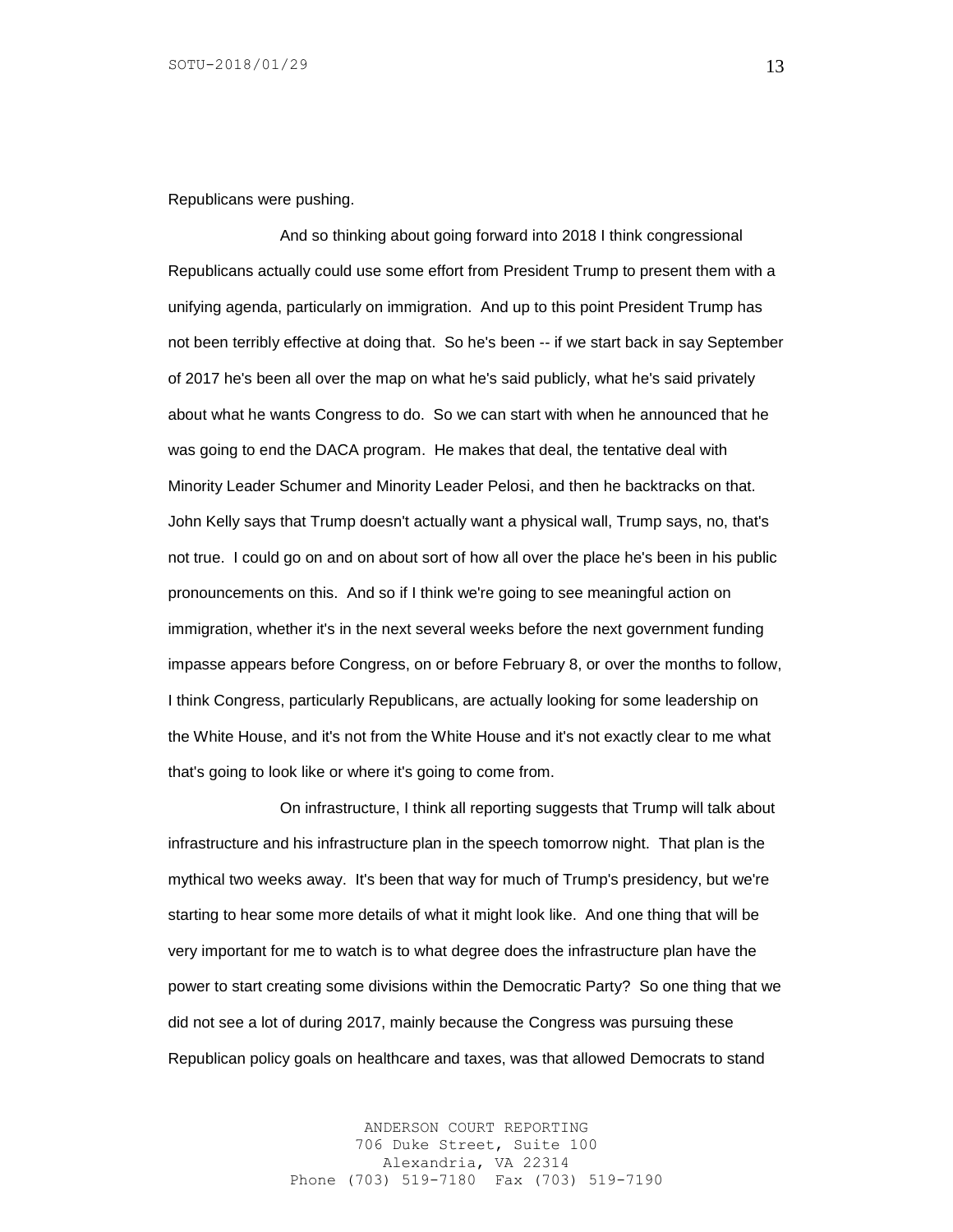Republicans were pushing.

And so thinking about going forward into 2018 I think congressional Republicans actually could use some effort from President Trump to present them with a unifying agenda, particularly on immigration. And up to this point President Trump has not been terribly effective at doing that. So he's been -- if we start back in say September of 2017 he's been all over the map on what he's said publicly, what he's said privately about what he wants Congress to do. So we can start with when he announced that he was going to end the DACA program. He makes that deal, the tentative deal with Minority Leader Schumer and Minority Leader Pelosi, and then he backtracks on that. John Kelly says that Trump doesn't actually want a physical wall, Trump says, no, that's not true. I could go on and on about sort of how all over the place he's been in his public pronouncements on this. And so if I think we're going to see meaningful action on immigration, whether it's in the next several weeks before the next government funding impasse appears before Congress, on or before February 8, or over the months to follow, I think Congress, particularly Republicans, are actually looking for some leadership on the White House, and it's not from the White House and it's not exactly clear to me what that's going to look like or where it's going to come from.

On infrastructure, I think all reporting suggests that Trump will talk about infrastructure and his infrastructure plan in the speech tomorrow night. That plan is the mythical two weeks away. It's been that way for much of Trump's presidency, but we're starting to hear some more details of what it might look like. And one thing that will be very important for me to watch is to what degree does the infrastructure plan have the power to start creating some divisions within the Democratic Party? So one thing that we did not see a lot of during 2017, mainly because the Congress was pursuing these Republican policy goals on healthcare and taxes, was that allowed Democrats to stand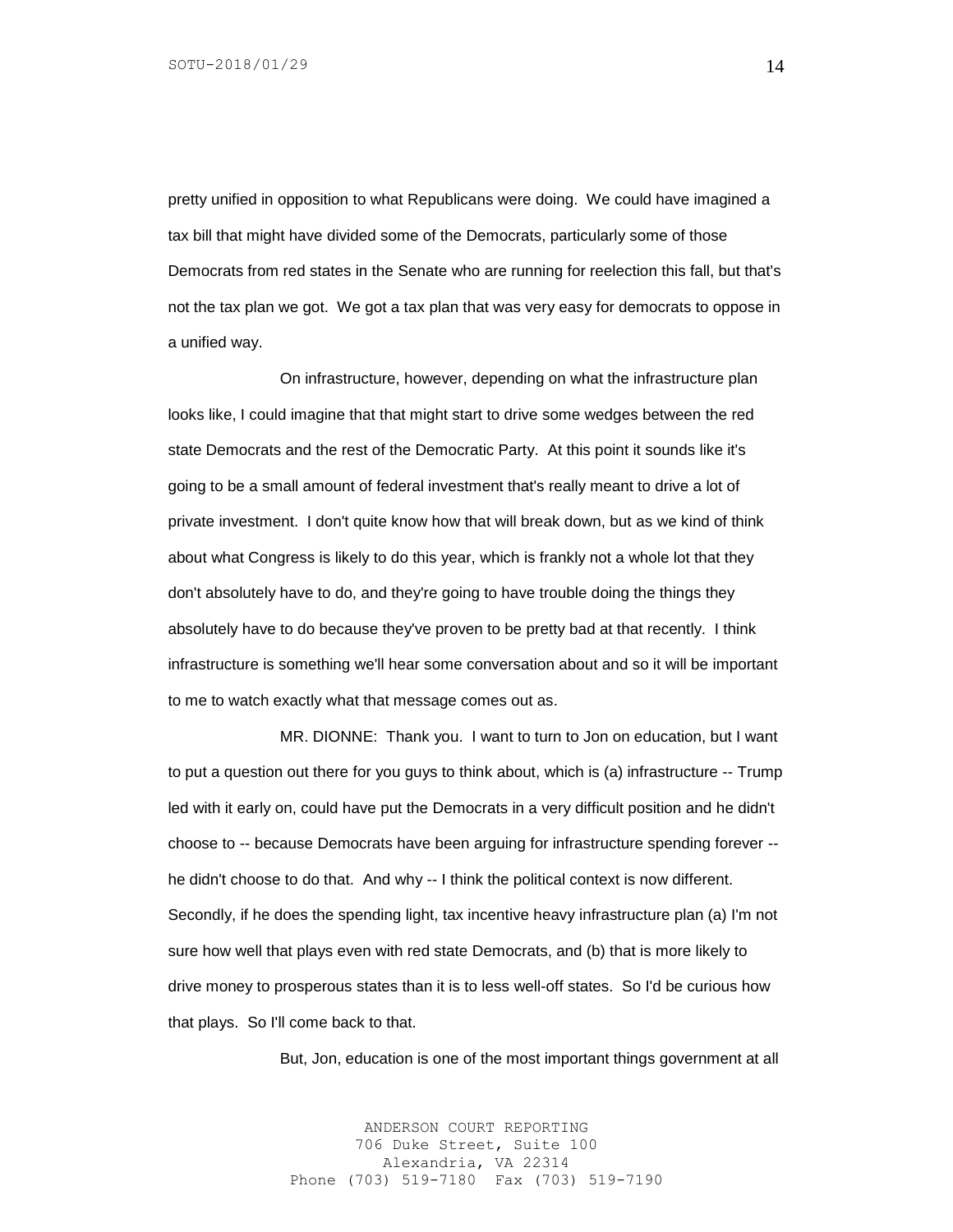pretty unified in opposition to what Republicans were doing. We could have imagined a tax bill that might have divided some of the Democrats, particularly some of those Democrats from red states in the Senate who are running for reelection this fall, but that's not the tax plan we got. We got a tax plan that was very easy for democrats to oppose in a unified way.

On infrastructure, however, depending on what the infrastructure plan looks like, I could imagine that that might start to drive some wedges between the red state Democrats and the rest of the Democratic Party. At this point it sounds like it's going to be a small amount of federal investment that's really meant to drive a lot of private investment. I don't quite know how that will break down, but as we kind of think about what Congress is likely to do this year, which is frankly not a whole lot that they don't absolutely have to do, and they're going to have trouble doing the things they absolutely have to do because they've proven to be pretty bad at that recently. I think infrastructure is something we'll hear some conversation about and so it will be important to me to watch exactly what that message comes out as.

MR. DIONNE: Thank you. I want to turn to Jon on education, but I want to put a question out there for you guys to think about, which is (a) infrastructure -- Trump led with it early on, could have put the Democrats in a very difficult position and he didn't choose to -- because Democrats have been arguing for infrastructure spending forever - he didn't choose to do that. And why -- I think the political context is now different. Secondly, if he does the spending light, tax incentive heavy infrastructure plan (a) I'm not sure how well that plays even with red state Democrats, and (b) that is more likely to drive money to prosperous states than it is to less well-off states. So I'd be curious how that plays. So I'll come back to that.

But, Jon, education is one of the most important things government at all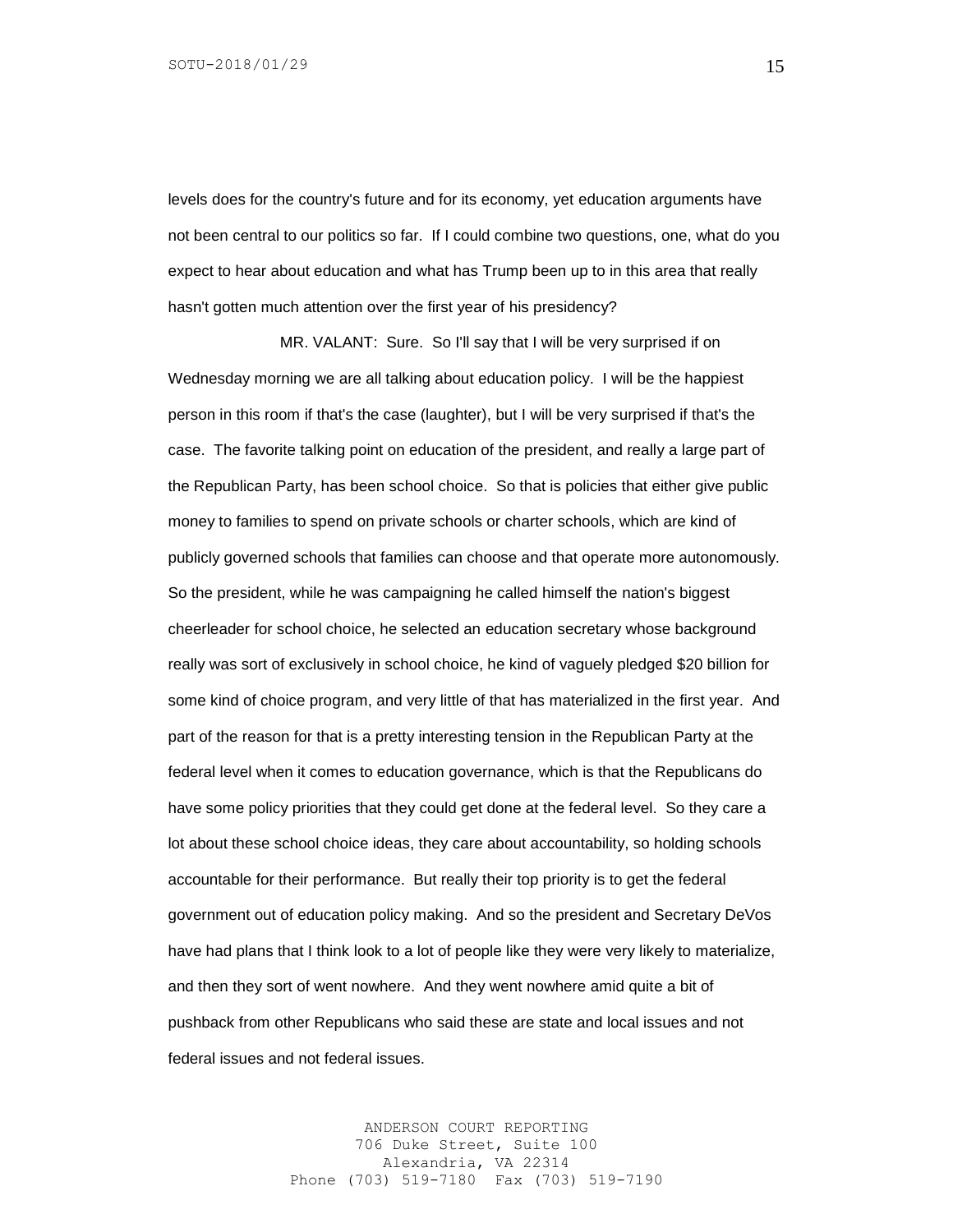levels does for the country's future and for its economy, yet education arguments have not been central to our politics so far. If I could combine two questions, one, what do you expect to hear about education and what has Trump been up to in this area that really hasn't gotten much attention over the first year of his presidency?

MR. VALANT: Sure. So I'll say that I will be very surprised if on Wednesday morning we are all talking about education policy. I will be the happiest person in this room if that's the case (laughter), but I will be very surprised if that's the case. The favorite talking point on education of the president, and really a large part of the Republican Party, has been school choice. So that is policies that either give public money to families to spend on private schools or charter schools, which are kind of publicly governed schools that families can choose and that operate more autonomously. So the president, while he was campaigning he called himself the nation's biggest cheerleader for school choice, he selected an education secretary whose background really was sort of exclusively in school choice, he kind of vaguely pledged \$20 billion for some kind of choice program, and very little of that has materialized in the first year. And part of the reason for that is a pretty interesting tension in the Republican Party at the federal level when it comes to education governance, which is that the Republicans do have some policy priorities that they could get done at the federal level. So they care a lot about these school choice ideas, they care about accountability, so holding schools accountable for their performance. But really their top priority is to get the federal government out of education policy making. And so the president and Secretary DeVos have had plans that I think look to a lot of people like they were very likely to materialize, and then they sort of went nowhere. And they went nowhere amid quite a bit of pushback from other Republicans who said these are state and local issues and not federal issues and not federal issues.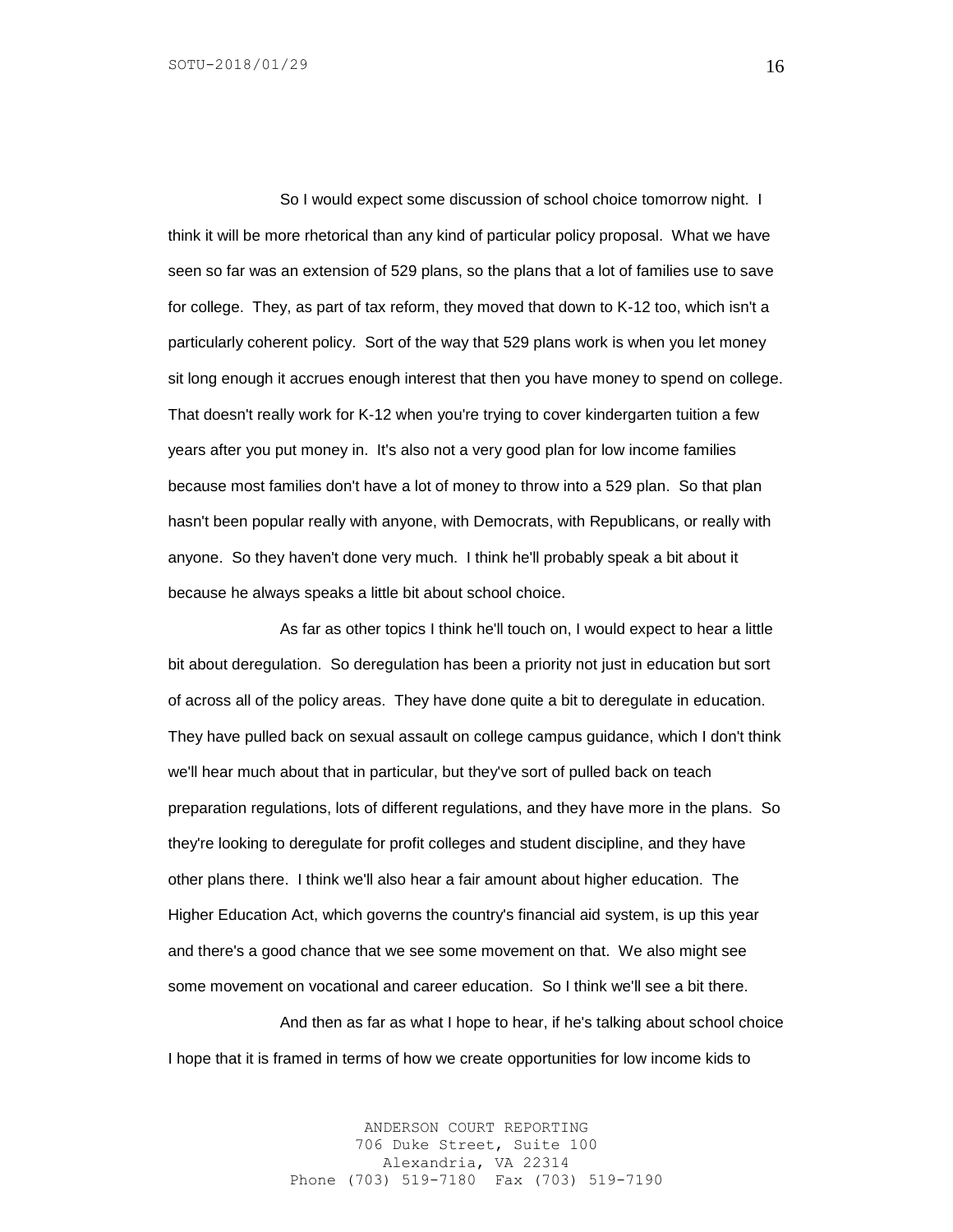So I would expect some discussion of school choice tomorrow night. I think it will be more rhetorical than any kind of particular policy proposal. What we have seen so far was an extension of 529 plans, so the plans that a lot of families use to save for college. They, as part of tax reform, they moved that down to K-12 too, which isn't a particularly coherent policy. Sort of the way that 529 plans work is when you let money sit long enough it accrues enough interest that then you have money to spend on college. That doesn't really work for K-12 when you're trying to cover kindergarten tuition a few years after you put money in. It's also not a very good plan for low income families because most families don't have a lot of money to throw into a 529 plan. So that plan hasn't been popular really with anyone, with Democrats, with Republicans, or really with anyone. So they haven't done very much. I think he'll probably speak a bit about it because he always speaks a little bit about school choice.

As far as other topics I think he'll touch on, I would expect to hear a little bit about deregulation. So deregulation has been a priority not just in education but sort of across all of the policy areas. They have done quite a bit to deregulate in education. They have pulled back on sexual assault on college campus guidance, which I don't think we'll hear much about that in particular, but they've sort of pulled back on teach preparation regulations, lots of different regulations, and they have more in the plans. So they're looking to deregulate for profit colleges and student discipline, and they have other plans there. I think we'll also hear a fair amount about higher education. The Higher Education Act, which governs the country's financial aid system, is up this year and there's a good chance that we see some movement on that. We also might see some movement on vocational and career education. So I think we'll see a bit there.

And then as far as what I hope to hear, if he's talking about school choice I hope that it is framed in terms of how we create opportunities for low income kids to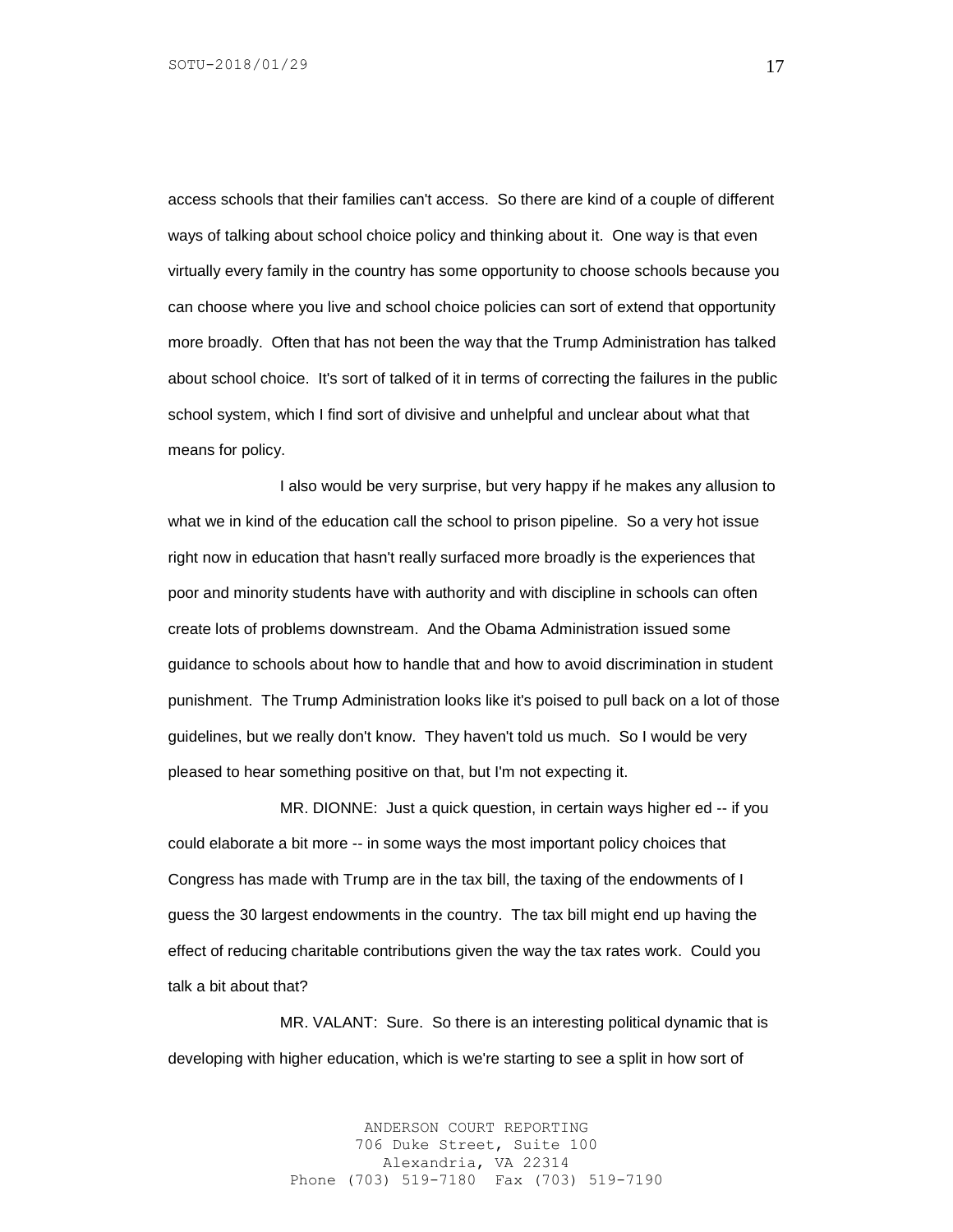access schools that their families can't access. So there are kind of a couple of different ways of talking about school choice policy and thinking about it. One way is that even virtually every family in the country has some opportunity to choose schools because you can choose where you live and school choice policies can sort of extend that opportunity more broadly. Often that has not been the way that the Trump Administration has talked about school choice. It's sort of talked of it in terms of correcting the failures in the public school system, which I find sort of divisive and unhelpful and unclear about what that means for policy.

I also would be very surprise, but very happy if he makes any allusion to what we in kind of the education call the school to prison pipeline. So a very hot issue right now in education that hasn't really surfaced more broadly is the experiences that poor and minority students have with authority and with discipline in schools can often create lots of problems downstream. And the Obama Administration issued some guidance to schools about how to handle that and how to avoid discrimination in student punishment. The Trump Administration looks like it's poised to pull back on a lot of those guidelines, but we really don't know. They haven't told us much. So I would be very pleased to hear something positive on that, but I'm not expecting it.

MR. DIONNE: Just a quick question, in certain ways higher ed -- if you could elaborate a bit more -- in some ways the most important policy choices that Congress has made with Trump are in the tax bill, the taxing of the endowments of I guess the 30 largest endowments in the country. The tax bill might end up having the effect of reducing charitable contributions given the way the tax rates work. Could you talk a bit about that?

MR. VALANT: Sure. So there is an interesting political dynamic that is developing with higher education, which is we're starting to see a split in how sort of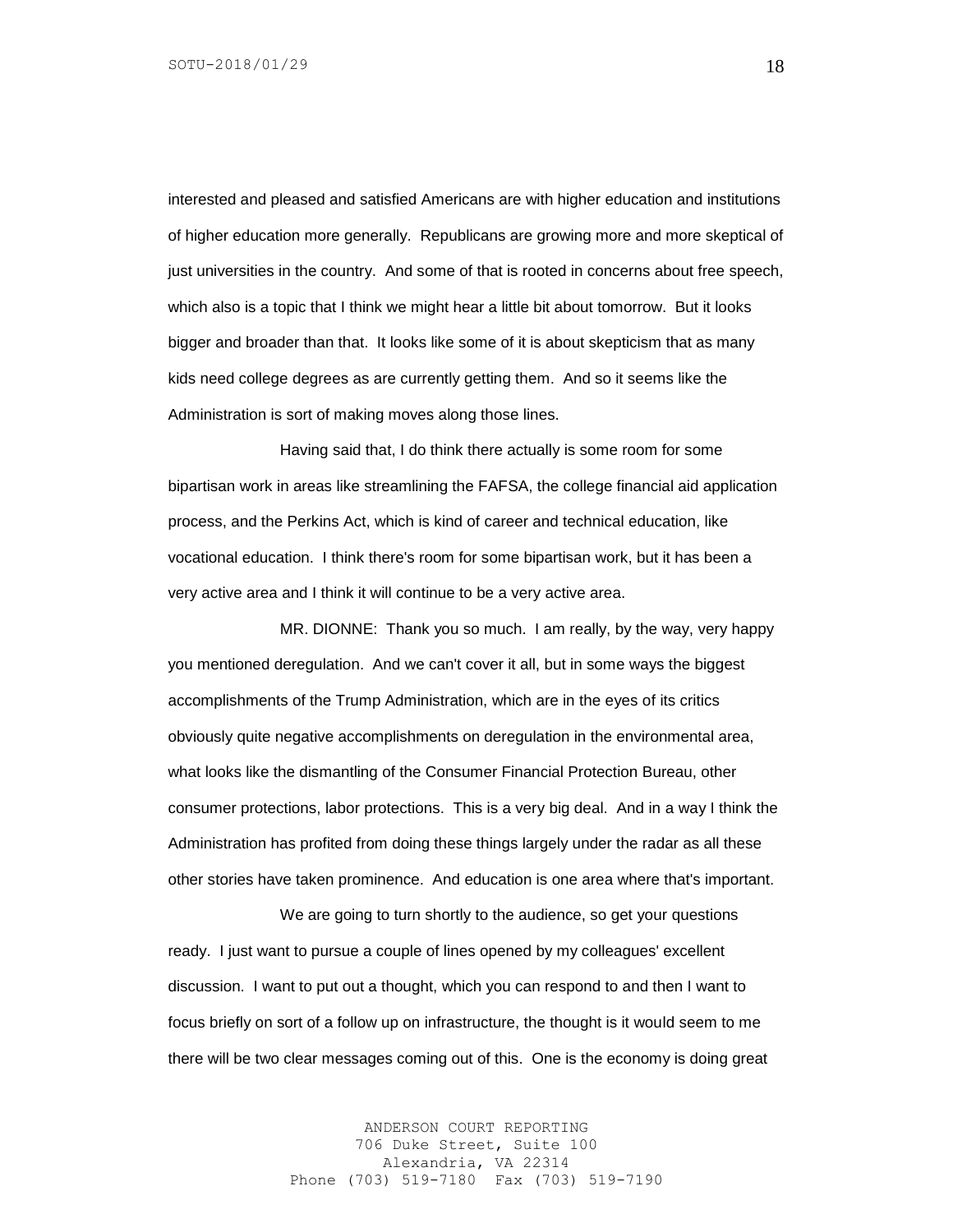interested and pleased and satisfied Americans are with higher education and institutions of higher education more generally. Republicans are growing more and more skeptical of just universities in the country. And some of that is rooted in concerns about free speech, which also is a topic that I think we might hear a little bit about tomorrow. But it looks bigger and broader than that. It looks like some of it is about skepticism that as many kids need college degrees as are currently getting them. And so it seems like the Administration is sort of making moves along those lines.

Having said that, I do think there actually is some room for some bipartisan work in areas like streamlining the FAFSA, the college financial aid application process, and the Perkins Act, which is kind of career and technical education, like vocational education. I think there's room for some bipartisan work, but it has been a very active area and I think it will continue to be a very active area.

MR. DIONNE: Thank you so much. I am really, by the way, very happy you mentioned deregulation. And we can't cover it all, but in some ways the biggest accomplishments of the Trump Administration, which are in the eyes of its critics obviously quite negative accomplishments on deregulation in the environmental area, what looks like the dismantling of the Consumer Financial Protection Bureau, other consumer protections, labor protections. This is a very big deal. And in a way I think the Administration has profited from doing these things largely under the radar as all these other stories have taken prominence. And education is one area where that's important.

We are going to turn shortly to the audience, so get your questions ready. I just want to pursue a couple of lines opened by my colleagues' excellent discussion. I want to put out a thought, which you can respond to and then I want to focus briefly on sort of a follow up on infrastructure, the thought is it would seem to me there will be two clear messages coming out of this. One is the economy is doing great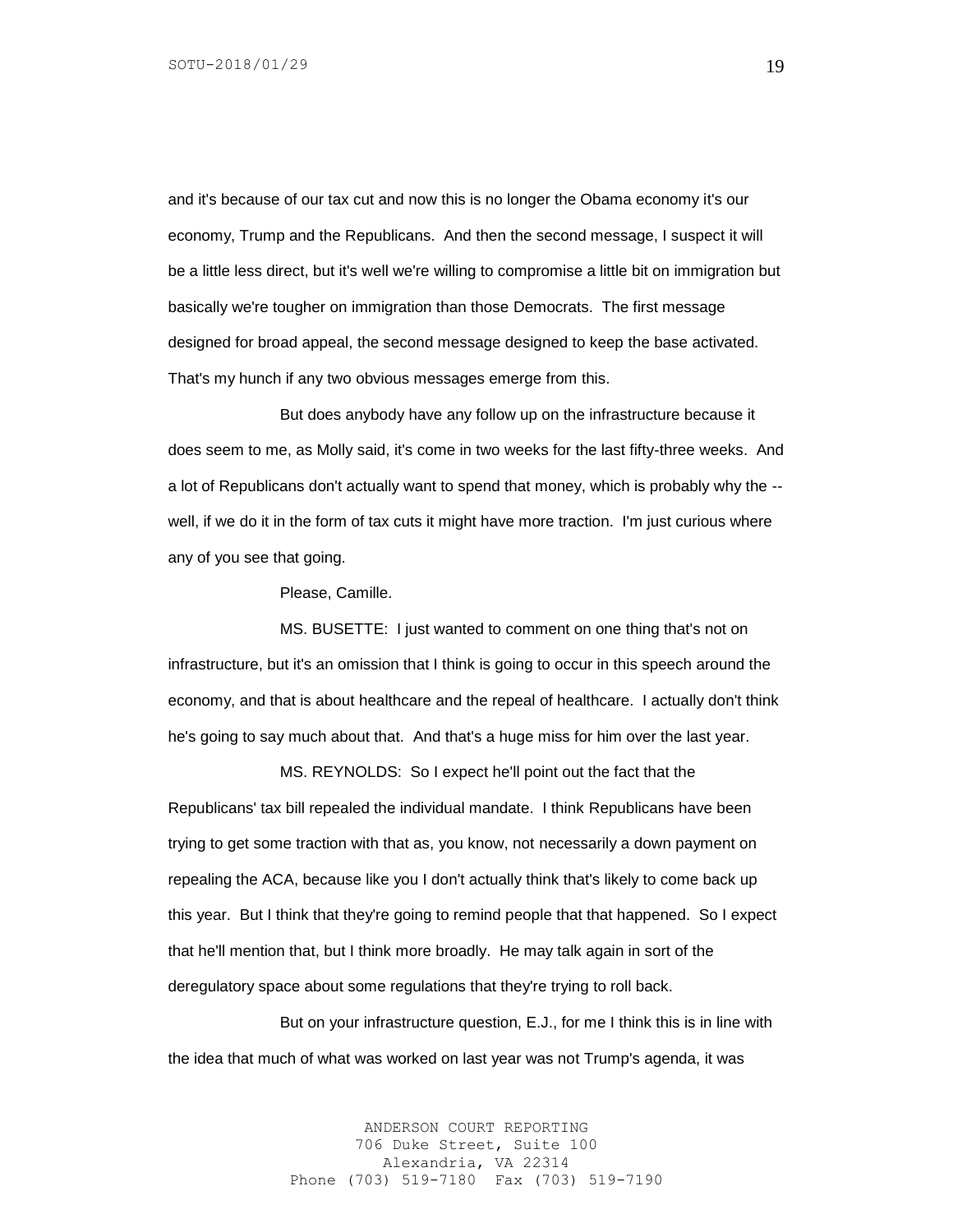and it's because of our tax cut and now this is no longer the Obama economy it's our economy, Trump and the Republicans. And then the second message, I suspect it will be a little less direct, but it's well we're willing to compromise a little bit on immigration but basically we're tougher on immigration than those Democrats. The first message designed for broad appeal, the second message designed to keep the base activated. That's my hunch if any two obvious messages emerge from this.

But does anybody have any follow up on the infrastructure because it does seem to me, as Molly said, it's come in two weeks for the last fifty-three weeks. And a lot of Republicans don't actually want to spend that money, which is probably why the - well, if we do it in the form of tax cuts it might have more traction. I'm just curious where any of you see that going.

Please, Camille.

MS. BUSETTE: I just wanted to comment on one thing that's not on infrastructure, but it's an omission that I think is going to occur in this speech around the economy, and that is about healthcare and the repeal of healthcare. I actually don't think he's going to say much about that. And that's a huge miss for him over the last year.

MS. REYNOLDS: So I expect he'll point out the fact that the Republicans' tax bill repealed the individual mandate. I think Republicans have been trying to get some traction with that as, you know, not necessarily a down payment on repealing the ACA, because like you I don't actually think that's likely to come back up this year. But I think that they're going to remind people that that happened. So I expect that he'll mention that, but I think more broadly. He may talk again in sort of the deregulatory space about some regulations that they're trying to roll back.

But on your infrastructure question, E.J., for me I think this is in line with the idea that much of what was worked on last year was not Trump's agenda, it was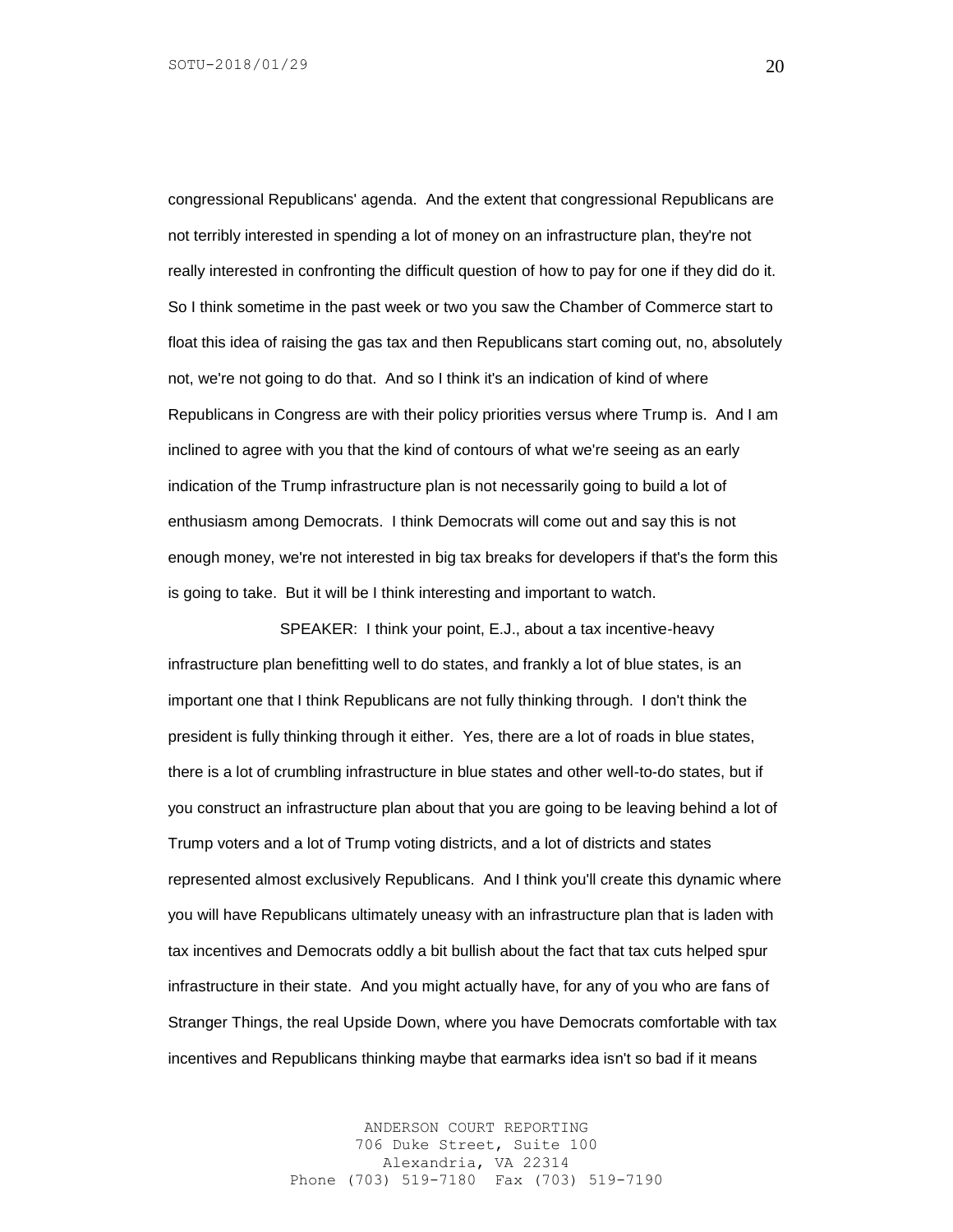congressional Republicans' agenda. And the extent that congressional Republicans are not terribly interested in spending a lot of money on an infrastructure plan, they're not really interested in confronting the difficult question of how to pay for one if they did do it. So I think sometime in the past week or two you saw the Chamber of Commerce start to float this idea of raising the gas tax and then Republicans start coming out, no, absolutely not, we're not going to do that. And so I think it's an indication of kind of where Republicans in Congress are with their policy priorities versus where Trump is. And I am inclined to agree with you that the kind of contours of what we're seeing as an early indication of the Trump infrastructure plan is not necessarily going to build a lot of enthusiasm among Democrats. I think Democrats will come out and say this is not enough money, we're not interested in big tax breaks for developers if that's the form this is going to take. But it will be I think interesting and important to watch.

SPEAKER: I think your point, E.J., about a tax incentive-heavy infrastructure plan benefitting well to do states, and frankly a lot of blue states, is an important one that I think Republicans are not fully thinking through. I don't think the president is fully thinking through it either. Yes, there are a lot of roads in blue states, there is a lot of crumbling infrastructure in blue states and other well-to-do states, but if you construct an infrastructure plan about that you are going to be leaving behind a lot of Trump voters and a lot of Trump voting districts, and a lot of districts and states represented almost exclusively Republicans. And I think you'll create this dynamic where you will have Republicans ultimately uneasy with an infrastructure plan that is laden with tax incentives and Democrats oddly a bit bullish about the fact that tax cuts helped spur infrastructure in their state. And you might actually have, for any of you who are fans of Stranger Things, the real Upside Down, where you have Democrats comfortable with tax incentives and Republicans thinking maybe that earmarks idea isn't so bad if it means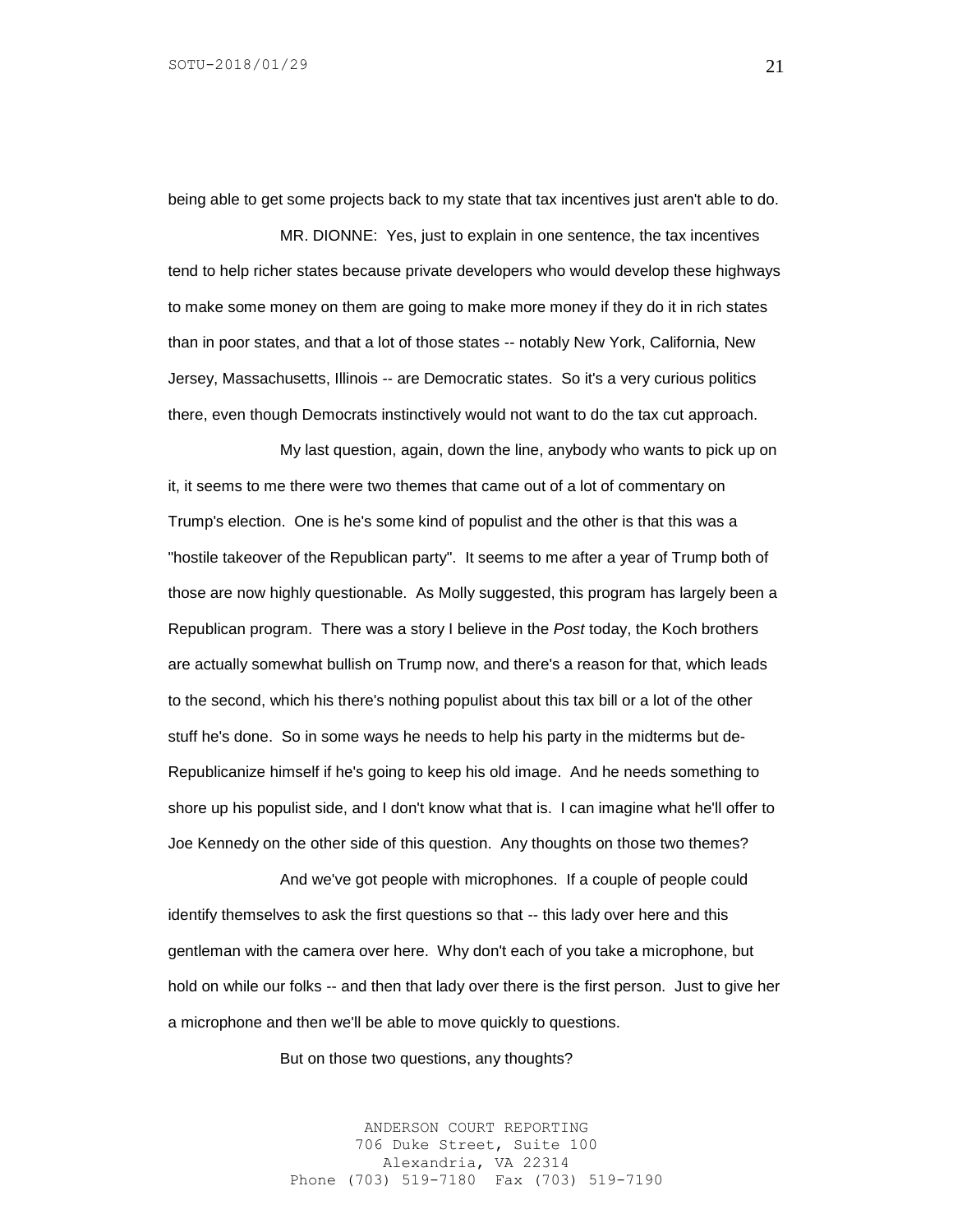being able to get some projects back to my state that tax incentives just aren't able to do.

MR. DIONNE: Yes, just to explain in one sentence, the tax incentives tend to help richer states because private developers who would develop these highways to make some money on them are going to make more money if they do it in rich states than in poor states, and that a lot of those states -- notably New York, California, New Jersey, Massachusetts, Illinois -- are Democratic states. So it's a very curious politics there, even though Democrats instinctively would not want to do the tax cut approach.

My last question, again, down the line, anybody who wants to pick up on it, it seems to me there were two themes that came out of a lot of commentary on Trump's election. One is he's some kind of populist and the other is that this was a "hostile takeover of the Republican party". It seems to me after a year of Trump both of those are now highly questionable. As Molly suggested, this program has largely been a Republican program. There was a story I believe in the *Post* today, the Koch brothers are actually somewhat bullish on Trump now, and there's a reason for that, which leads to the second, which his there's nothing populist about this tax bill or a lot of the other stuff he's done. So in some ways he needs to help his party in the midterms but de-Republicanize himself if he's going to keep his old image. And he needs something to shore up his populist side, and I don't know what that is. I can imagine what he'll offer to Joe Kennedy on the other side of this question. Any thoughts on those two themes?

And we've got people with microphones. If a couple of people could identify themselves to ask the first questions so that -- this lady over here and this gentleman with the camera over here. Why don't each of you take a microphone, but hold on while our folks -- and then that lady over there is the first person. Just to give her a microphone and then we'll be able to move quickly to questions.

But on those two questions, any thoughts?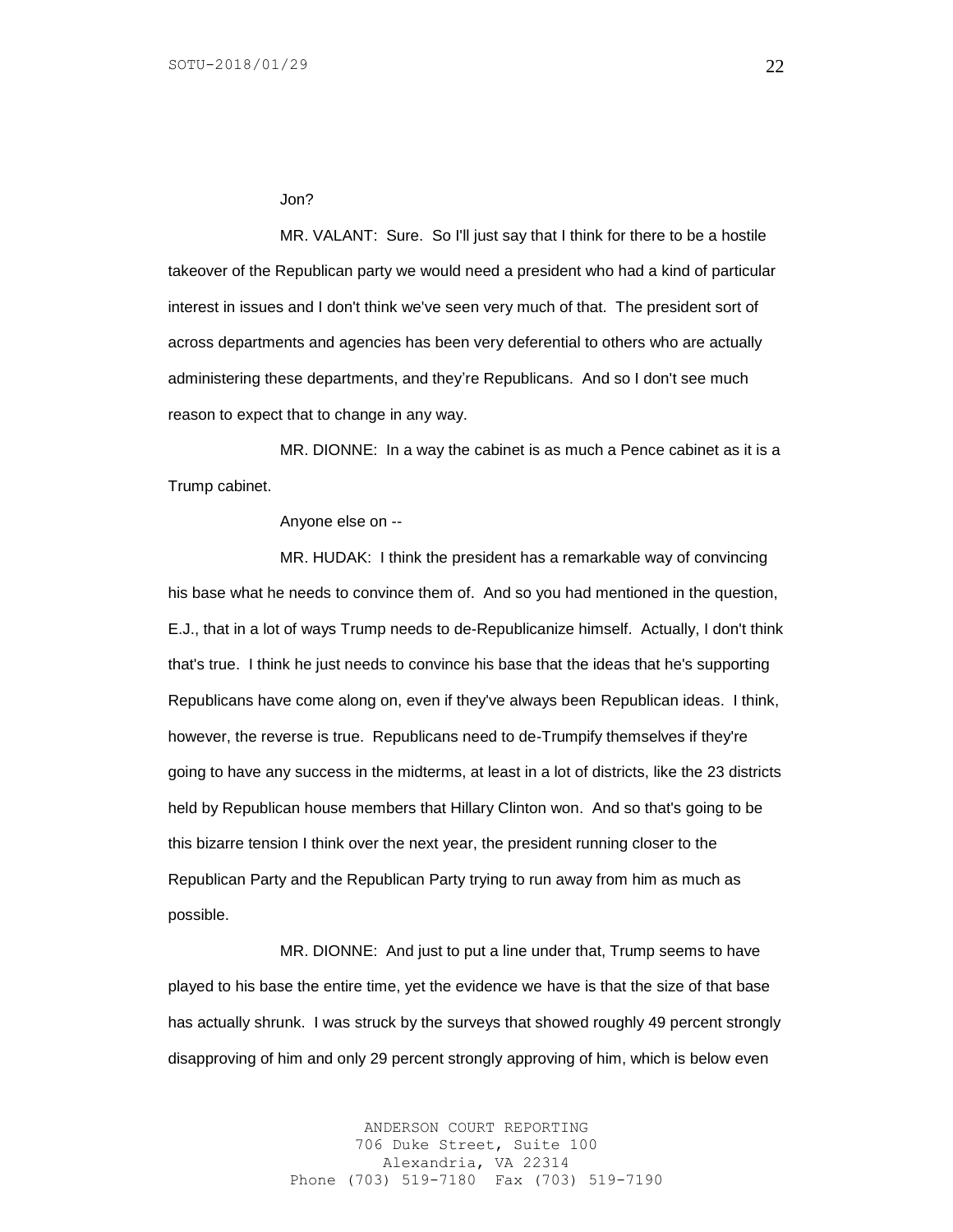#### Jon?

MR. VALANT: Sure. So I'll just say that I think for there to be a hostile takeover of the Republican party we would need a president who had a kind of particular interest in issues and I don't think we've seen very much of that. The president sort of across departments and agencies has been very deferential to others who are actually administering these departments, and they're Republicans. And so I don't see much reason to expect that to change in any way.

MR. DIONNE: In a way the cabinet is as much a Pence cabinet as it is a Trump cabinet.

#### Anyone else on --

MR. HUDAK: I think the president has a remarkable way of convincing his base what he needs to convince them of. And so you had mentioned in the question, E.J., that in a lot of ways Trump needs to de-Republicanize himself. Actually, I don't think that's true. I think he just needs to convince his base that the ideas that he's supporting Republicans have come along on, even if they've always been Republican ideas. I think, however, the reverse is true. Republicans need to de-Trumpify themselves if they're going to have any success in the midterms, at least in a lot of districts, like the 23 districts held by Republican house members that Hillary Clinton won. And so that's going to be this bizarre tension I think over the next year, the president running closer to the Republican Party and the Republican Party trying to run away from him as much as possible.

MR. DIONNE: And just to put a line under that, Trump seems to have played to his base the entire time, yet the evidence we have is that the size of that base has actually shrunk. I was struck by the surveys that showed roughly 49 percent strongly disapproving of him and only 29 percent strongly approving of him, which is below even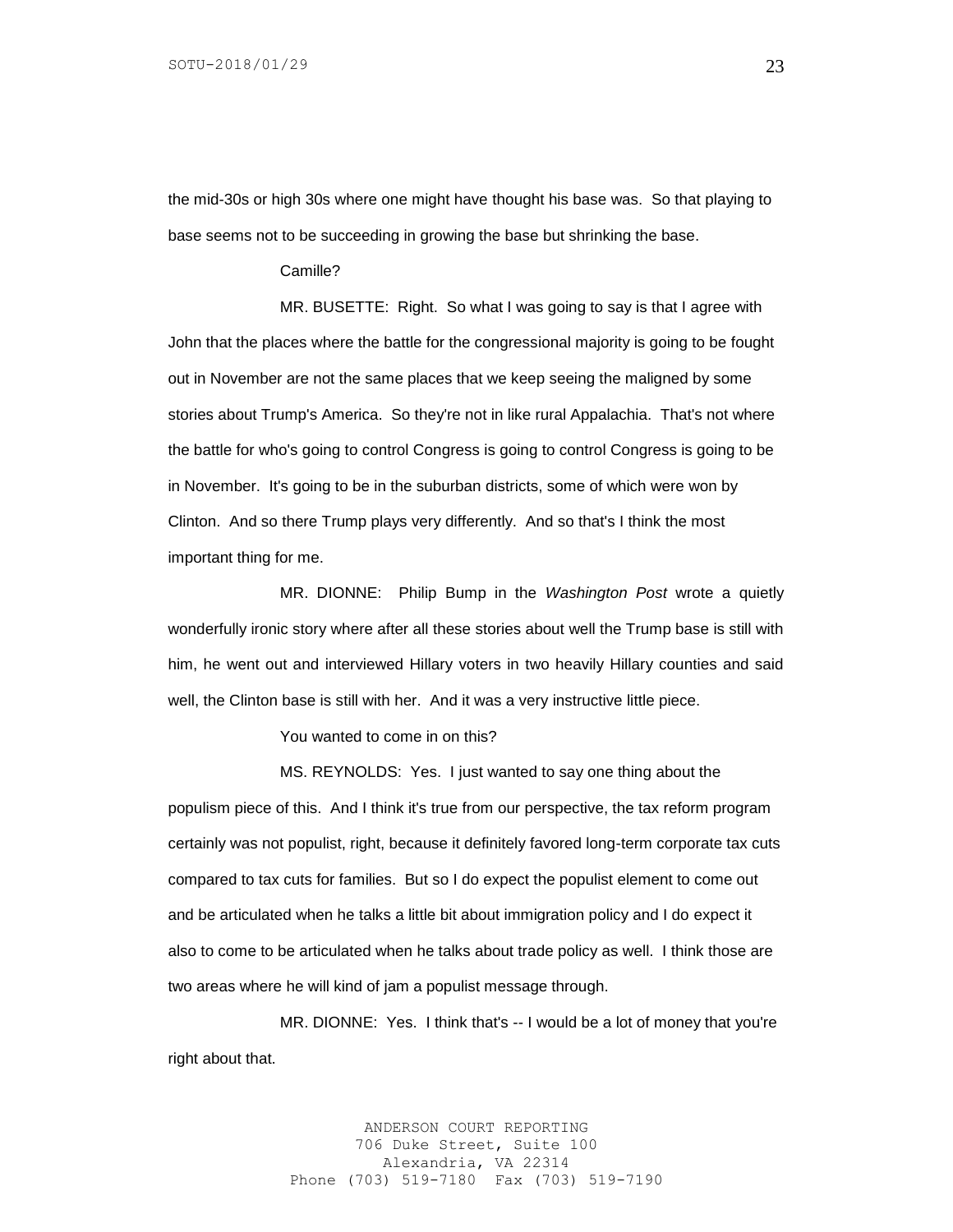the mid-30s or high 30s where one might have thought his base was. So that playing to base seems not to be succeeding in growing the base but shrinking the base.

#### Camille?

MR. BUSETTE: Right. So what I was going to say is that I agree with John that the places where the battle for the congressional majority is going to be fought out in November are not the same places that we keep seeing the maligned by some stories about Trump's America. So they're not in like rural Appalachia. That's not where the battle for who's going to control Congress is going to control Congress is going to be in November. It's going to be in the suburban districts, some of which were won by Clinton. And so there Trump plays very differently. And so that's I think the most important thing for me.

MR. DIONNE: Philip Bump in the *Washington Post* wrote a quietly wonderfully ironic story where after all these stories about well the Trump base is still with him, he went out and interviewed Hillary voters in two heavily Hillary counties and said well, the Clinton base is still with her. And it was a very instructive little piece.

You wanted to come in on this?

MS. REYNOLDS: Yes. I just wanted to say one thing about the populism piece of this. And I think it's true from our perspective, the tax reform program certainly was not populist, right, because it definitely favored long-term corporate tax cuts compared to tax cuts for families. But so I do expect the populist element to come out and be articulated when he talks a little bit about immigration policy and I do expect it also to come to be articulated when he talks about trade policy as well. I think those are two areas where he will kind of jam a populist message through.

MR. DIONNE: Yes. I think that's -- I would be a lot of money that you're right about that.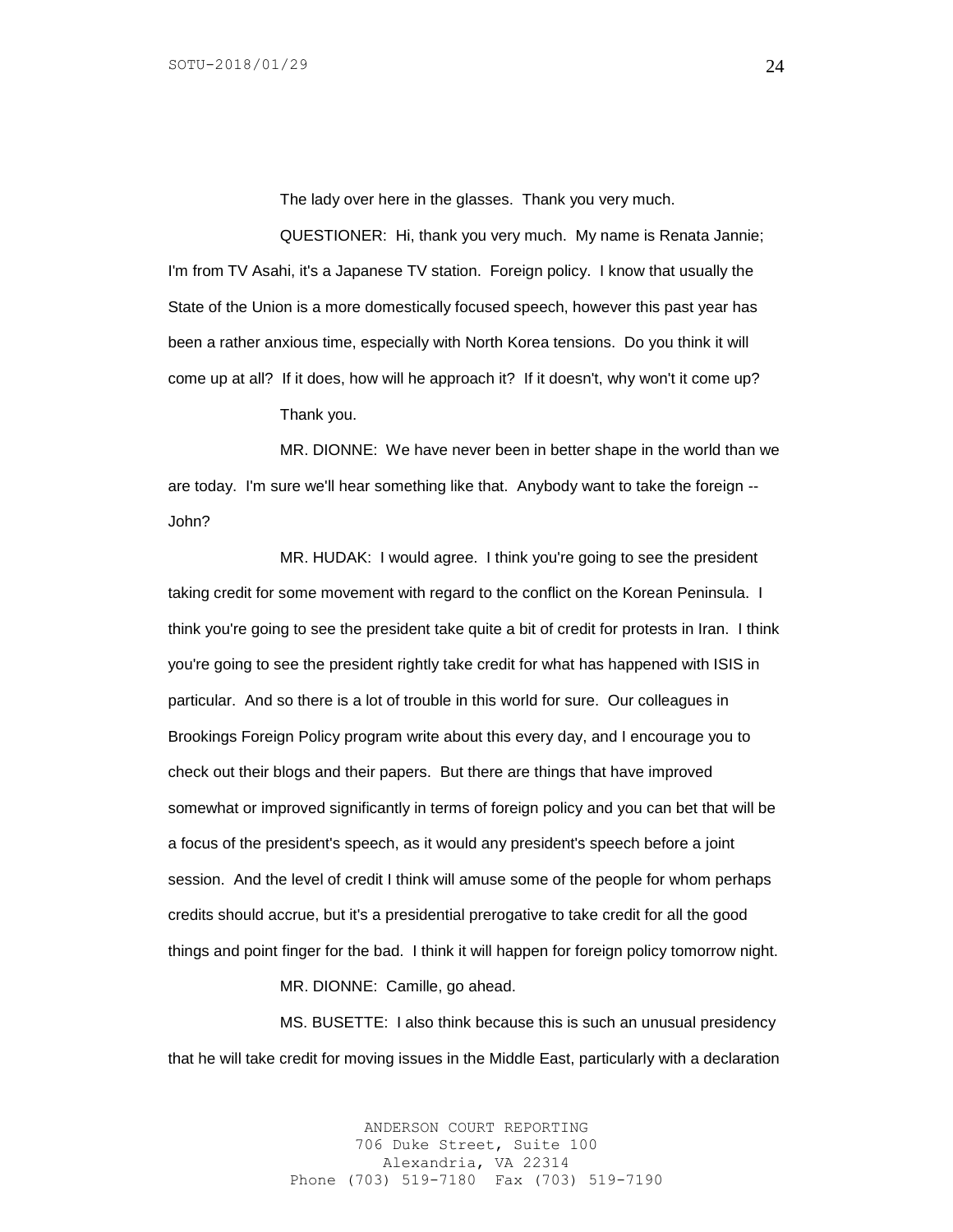The lady over here in the glasses. Thank you very much.

QUESTIONER: Hi, thank you very much. My name is Renata Jannie; I'm from TV Asahi, it's a Japanese TV station. Foreign policy. I know that usually the State of the Union is a more domestically focused speech, however this past year has been a rather anxious time, especially with North Korea tensions. Do you think it will come up at all? If it does, how will he approach it? If it doesn't, why won't it come up?

Thank you.

MR. DIONNE: We have never been in better shape in the world than we are today. I'm sure we'll hear something like that. Anybody want to take the foreign -- John?

MR. HUDAK: I would agree. I think you're going to see the president taking credit for some movement with regard to the conflict on the Korean Peninsula. I think you're going to see the president take quite a bit of credit for protests in Iran. I think you're going to see the president rightly take credit for what has happened with ISIS in particular. And so there is a lot of trouble in this world for sure. Our colleagues in Brookings Foreign Policy program write about this every day, and I encourage you to check out their blogs and their papers. But there are things that have improved somewhat or improved significantly in terms of foreign policy and you can bet that will be a focus of the president's speech, as it would any president's speech before a joint session. And the level of credit I think will amuse some of the people for whom perhaps credits should accrue, but it's a presidential prerogative to take credit for all the good things and point finger for the bad. I think it will happen for foreign policy tomorrow night.

MR. DIONNE: Camille, go ahead.

MS. BUSETTE: I also think because this is such an unusual presidency that he will take credit for moving issues in the Middle East, particularly with a declaration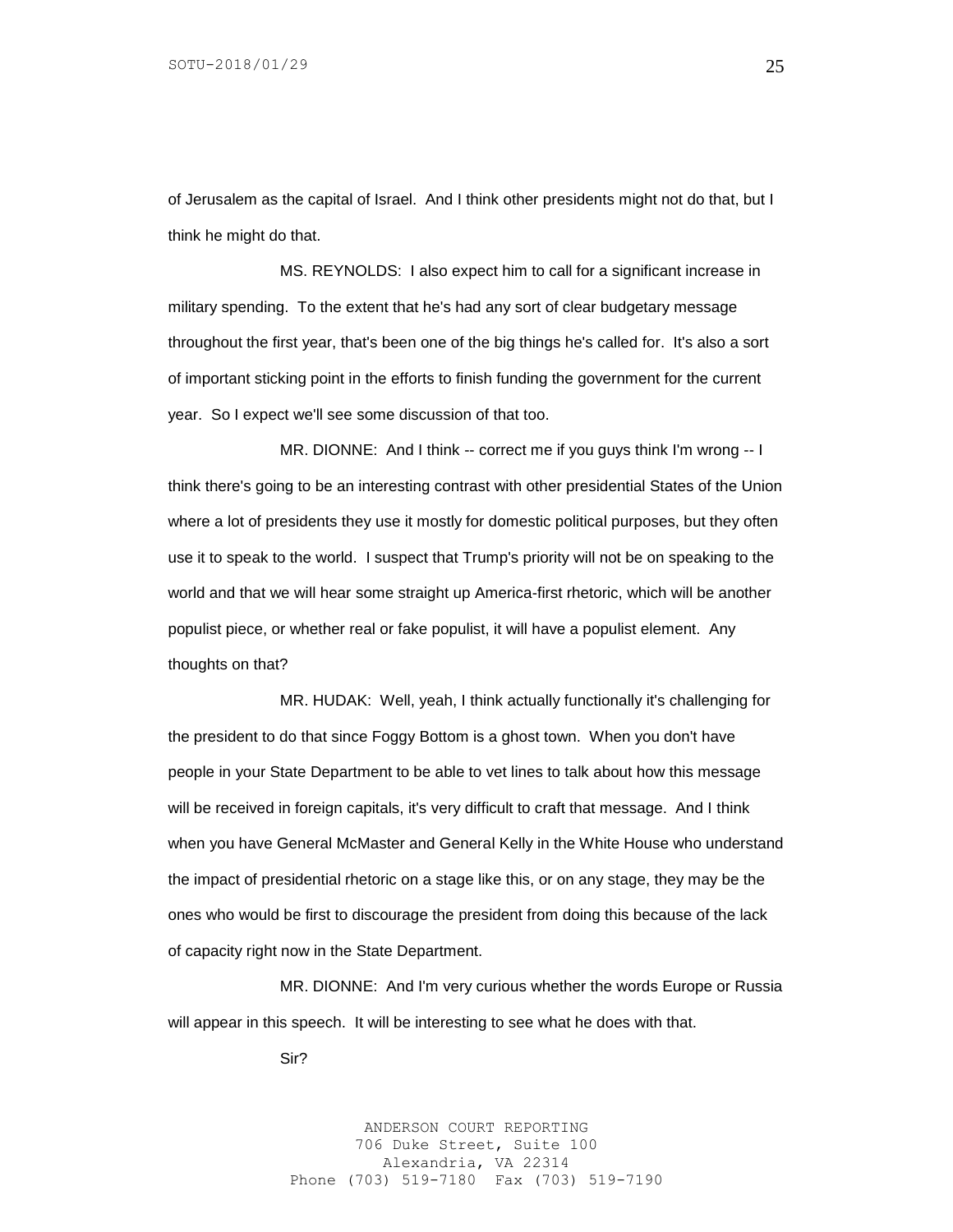of Jerusalem as the capital of Israel. And I think other presidents might not do that, but I think he might do that.

MS. REYNOLDS: I also expect him to call for a significant increase in military spending. To the extent that he's had any sort of clear budgetary message throughout the first year, that's been one of the big things he's called for. It's also a sort of important sticking point in the efforts to finish funding the government for the current year. So I expect we'll see some discussion of that too.

MR. DIONNE: And I think -- correct me if you guys think I'm wrong -- I think there's going to be an interesting contrast with other presidential States of the Union where a lot of presidents they use it mostly for domestic political purposes, but they often use it to speak to the world. I suspect that Trump's priority will not be on speaking to the world and that we will hear some straight up America-first rhetoric, which will be another populist piece, or whether real or fake populist, it will have a populist element. Any thoughts on that?

MR. HUDAK: Well, yeah, I think actually functionally it's challenging for the president to do that since Foggy Bottom is a ghost town. When you don't have people in your State Department to be able to vet lines to talk about how this message will be received in foreign capitals, it's very difficult to craft that message. And I think when you have General McMaster and General Kelly in the White House who understand the impact of presidential rhetoric on a stage like this, or on any stage, they may be the ones who would be first to discourage the president from doing this because of the lack of capacity right now in the State Department.

MR. DIONNE: And I'm very curious whether the words Europe or Russia will appear in this speech. It will be interesting to see what he does with that.

Sir?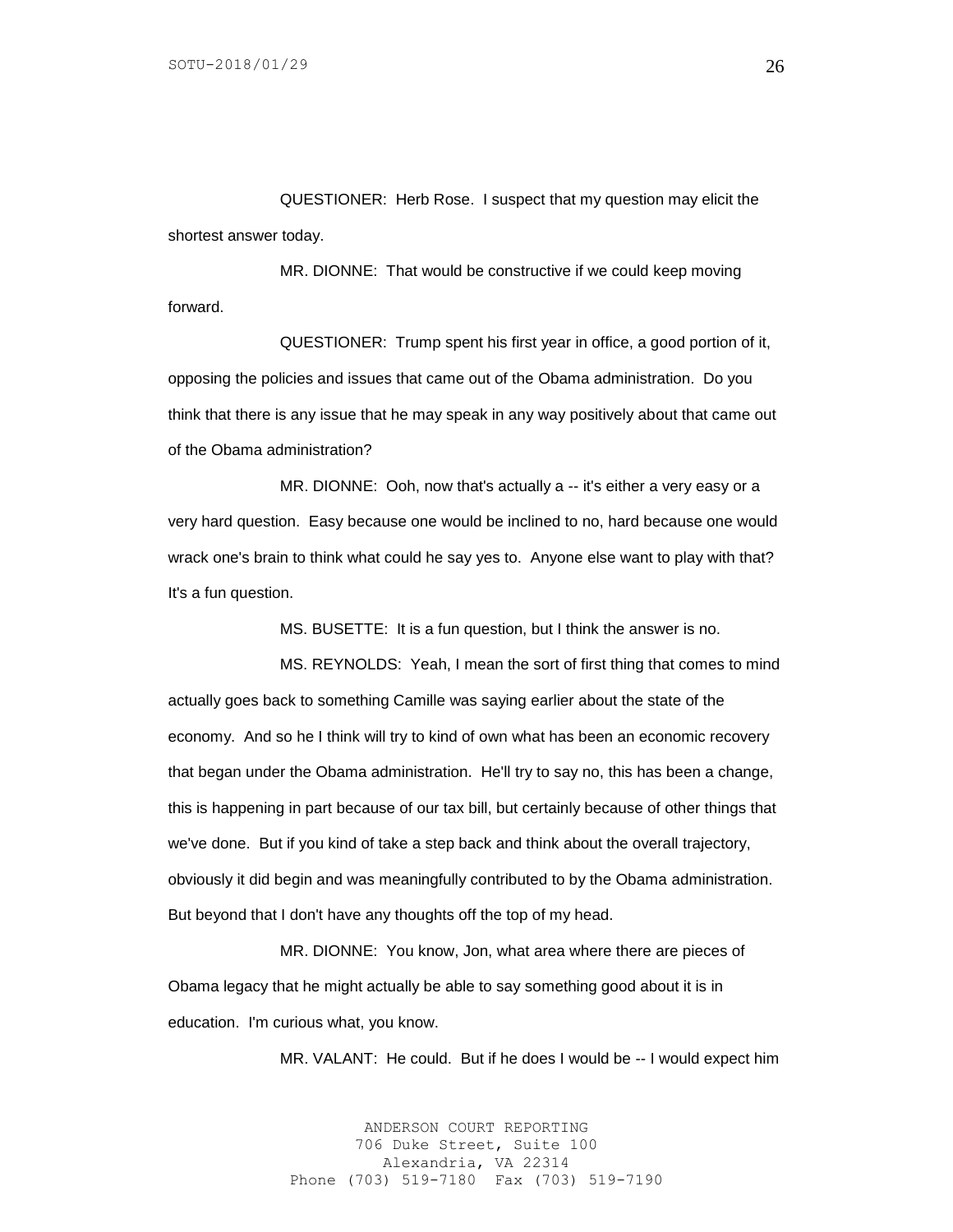QUESTIONER: Herb Rose. I suspect that my question may elicit the shortest answer today.

MR. DIONNE: That would be constructive if we could keep moving forward.

QUESTIONER: Trump spent his first year in office, a good portion of it, opposing the policies and issues that came out of the Obama administration. Do you think that there is any issue that he may speak in any way positively about that came out of the Obama administration?

MR. DIONNE: Ooh, now that's actually a -- it's either a very easy or a very hard question. Easy because one would be inclined to no, hard because one would wrack one's brain to think what could he say yes to. Anyone else want to play with that? It's a fun question.

MS. BUSETTE: It is a fun question, but I think the answer is no.

MS. REYNOLDS: Yeah, I mean the sort of first thing that comes to mind actually goes back to something Camille was saying earlier about the state of the economy. And so he I think will try to kind of own what has been an economic recovery that began under the Obama administration. He'll try to say no, this has been a change, this is happening in part because of our tax bill, but certainly because of other things that we've done. But if you kind of take a step back and think about the overall trajectory, obviously it did begin and was meaningfully contributed to by the Obama administration. But beyond that I don't have any thoughts off the top of my head.

MR. DIONNE: You know, Jon, what area where there are pieces of Obama legacy that he might actually be able to say something good about it is in education. I'm curious what, you know.

MR. VALANT: He could. But if he does I would be -- I would expect him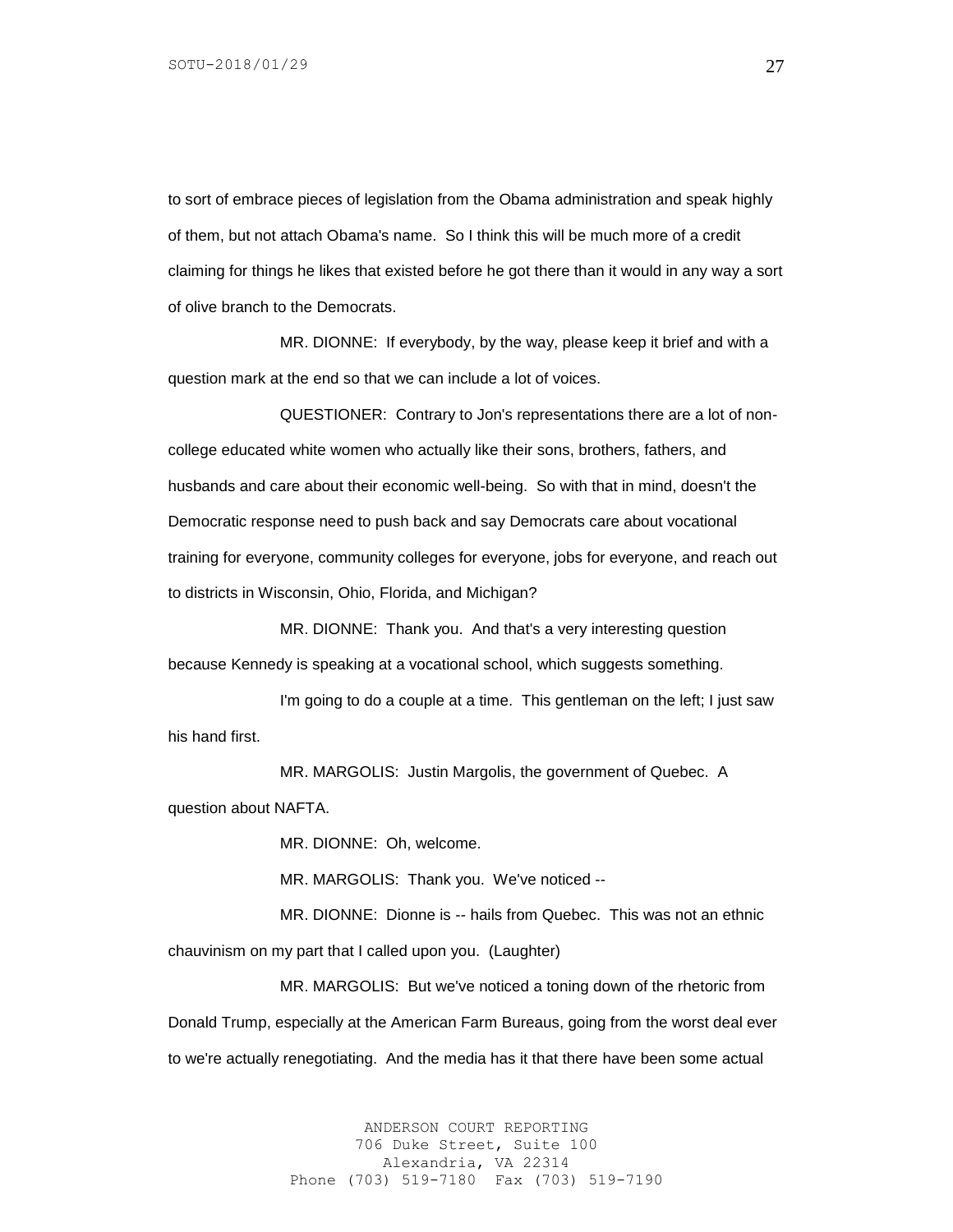to sort of embrace pieces of legislation from the Obama administration and speak highly of them, but not attach Obama's name. So I think this will be much more of a credit claiming for things he likes that existed before he got there than it would in any way a sort of olive branch to the Democrats.

MR. DIONNE: If everybody, by the way, please keep it brief and with a question mark at the end so that we can include a lot of voices.

QUESTIONER: Contrary to Jon's representations there are a lot of noncollege educated white women who actually like their sons, brothers, fathers, and husbands and care about their economic well-being. So with that in mind, doesn't the Democratic response need to push back and say Democrats care about vocational training for everyone, community colleges for everyone, jobs for everyone, and reach out to districts in Wisconsin, Ohio, Florida, and Michigan?

MR. DIONNE: Thank you. And that's a very interesting question because Kennedy is speaking at a vocational school, which suggests something.

I'm going to do a couple at a time. This gentleman on the left; I just saw his hand first.

MR. MARGOLIS: Justin Margolis, the government of Quebec. A question about NAFTA.

MR. DIONNE: Oh, welcome.

MR. MARGOLIS: Thank you. We've noticed --

MR. DIONNE: Dionne is -- hails from Quebec. This was not an ethnic chauvinism on my part that I called upon you. (Laughter)

MR. MARGOLIS: But we've noticed a toning down of the rhetoric from Donald Trump, especially at the American Farm Bureaus, going from the worst deal ever to we're actually renegotiating. And the media has it that there have been some actual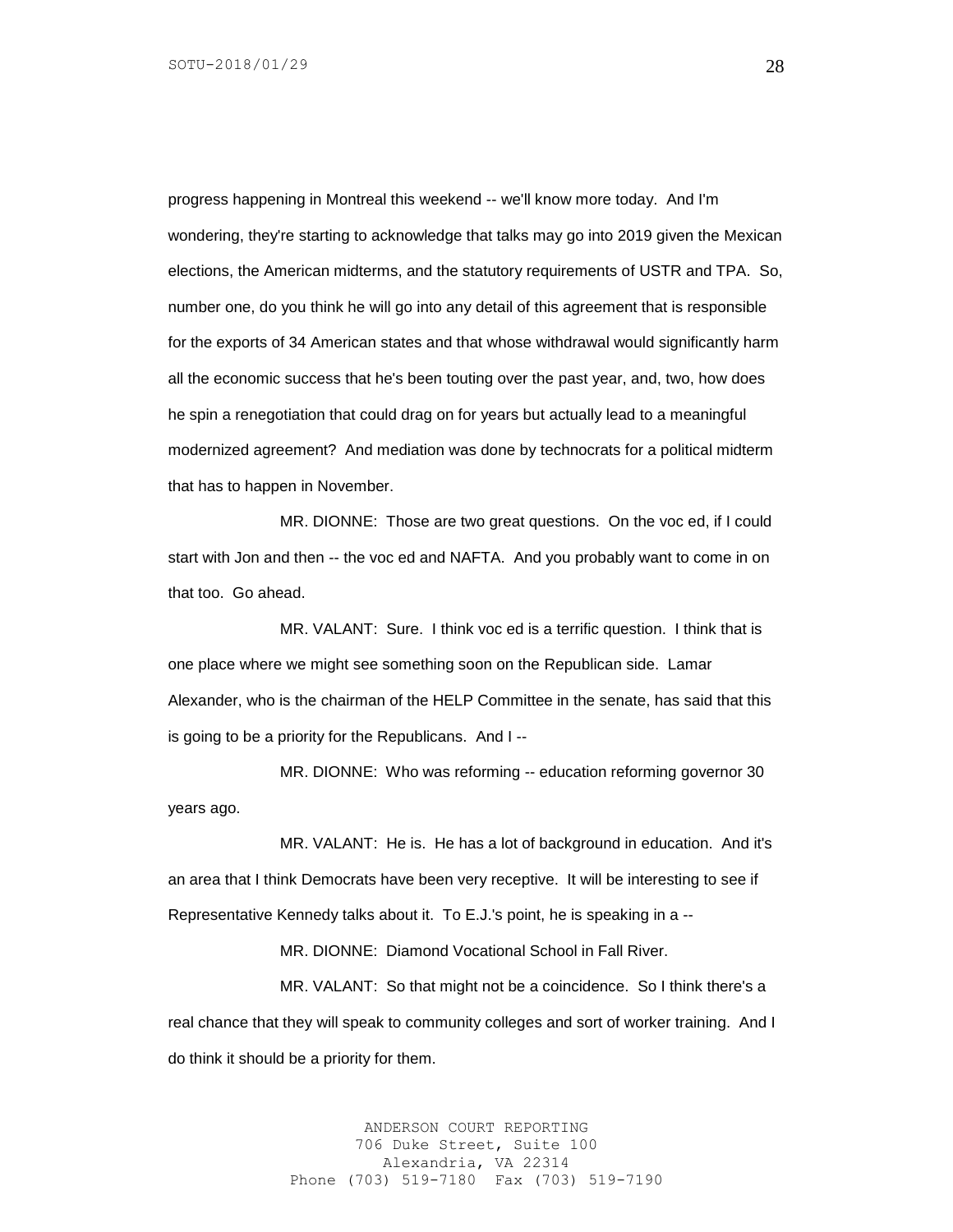progress happening in Montreal this weekend -- we'll know more today. And I'm wondering, they're starting to acknowledge that talks may go into 2019 given the Mexican elections, the American midterms, and the statutory requirements of USTR and TPA. So, number one, do you think he will go into any detail of this agreement that is responsible for the exports of 34 American states and that whose withdrawal would significantly harm all the economic success that he's been touting over the past year, and, two, how does he spin a renegotiation that could drag on for years but actually lead to a meaningful modernized agreement? And mediation was done by technocrats for a political midterm that has to happen in November.

MR. DIONNE: Those are two great questions. On the voc ed, if I could start with Jon and then -- the voc ed and NAFTA. And you probably want to come in on that too. Go ahead.

MR. VALANT: Sure. I think voc ed is a terrific question. I think that is one place where we might see something soon on the Republican side. Lamar Alexander, who is the chairman of the HELP Committee in the senate, has said that this is going to be a priority for the Republicans. And I --

MR. DIONNE: Who was reforming -- education reforming governor 30 years ago.

MR. VALANT: He is. He has a lot of background in education. And it's an area that I think Democrats have been very receptive. It will be interesting to see if Representative Kennedy talks about it. To E.J.'s point, he is speaking in a --

MR. DIONNE: Diamond Vocational School in Fall River.

MR. VALANT: So that might not be a coincidence. So I think there's a real chance that they will speak to community colleges and sort of worker training. And I do think it should be a priority for them.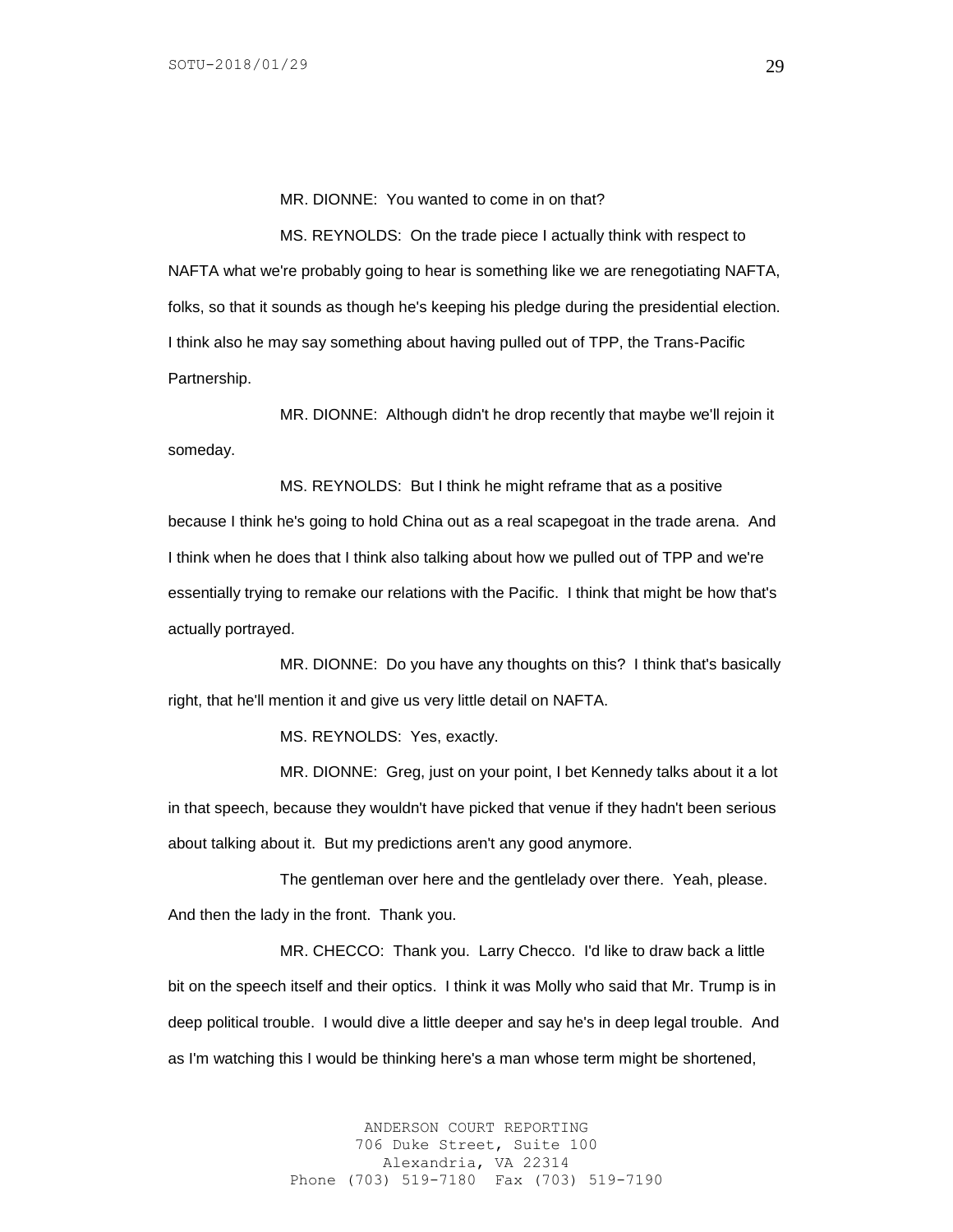MR. DIONNE: You wanted to come in on that?

MS. REYNOLDS: On the trade piece I actually think with respect to NAFTA what we're probably going to hear is something like we are renegotiating NAFTA, folks, so that it sounds as though he's keeping his pledge during the presidential election. I think also he may say something about having pulled out of TPP, the Trans-Pacific Partnership.

MR. DIONNE: Although didn't he drop recently that maybe we'll rejoin it someday.

MS. REYNOLDS: But I think he might reframe that as a positive because I think he's going to hold China out as a real scapegoat in the trade arena. And I think when he does that I think also talking about how we pulled out of TPP and we're essentially trying to remake our relations with the Pacific. I think that might be how that's actually portrayed.

MR. DIONNE: Do you have any thoughts on this? I think that's basically right, that he'll mention it and give us very little detail on NAFTA.

MS. REYNOLDS: Yes, exactly.

MR. DIONNE: Greg, just on your point, I bet Kennedy talks about it a lot in that speech, because they wouldn't have picked that venue if they hadn't been serious about talking about it. But my predictions aren't any good anymore.

The gentleman over here and the gentlelady over there. Yeah, please. And then the lady in the front. Thank you.

MR. CHECCO: Thank you. Larry Checco. I'd like to draw back a little bit on the speech itself and their optics. I think it was Molly who said that Mr. Trump is in deep political trouble. I would dive a little deeper and say he's in deep legal trouble. And as I'm watching this I would be thinking here's a man whose term might be shortened,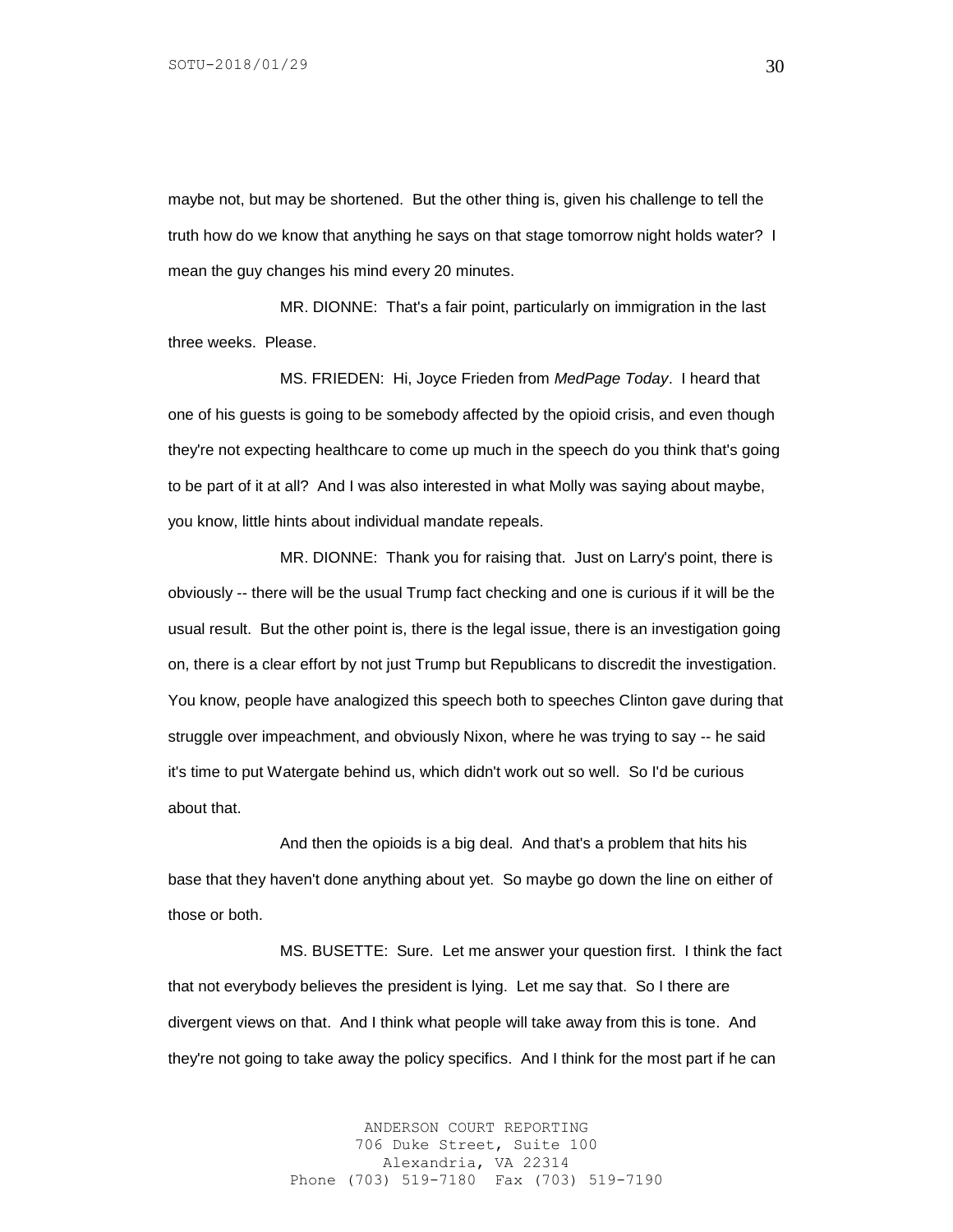maybe not, but may be shortened. But the other thing is, given his challenge to tell the truth how do we know that anything he says on that stage tomorrow night holds water? I mean the guy changes his mind every 20 minutes.

MR. DIONNE: That's a fair point, particularly on immigration in the last three weeks. Please.

MS. FRIEDEN: Hi, Joyce Frieden from *MedPage Today*. I heard that one of his guests is going to be somebody affected by the opioid crisis, and even though they're not expecting healthcare to come up much in the speech do you think that's going to be part of it at all? And I was also interested in what Molly was saying about maybe, you know, little hints about individual mandate repeals.

MR. DIONNE: Thank you for raising that. Just on Larry's point, there is obviously -- there will be the usual Trump fact checking and one is curious if it will be the usual result. But the other point is, there is the legal issue, there is an investigation going on, there is a clear effort by not just Trump but Republicans to discredit the investigation. You know, people have analogized this speech both to speeches Clinton gave during that struggle over impeachment, and obviously Nixon, where he was trying to say -- he said it's time to put Watergate behind us, which didn't work out so well. So I'd be curious about that.

And then the opioids is a big deal. And that's a problem that hits his base that they haven't done anything about yet. So maybe go down the line on either of those or both.

MS. BUSETTE: Sure. Let me answer your question first. I think the fact that not everybody believes the president is lying. Let me say that. So I there are divergent views on that. And I think what people will take away from this is tone. And they're not going to take away the policy specifics. And I think for the most part if he can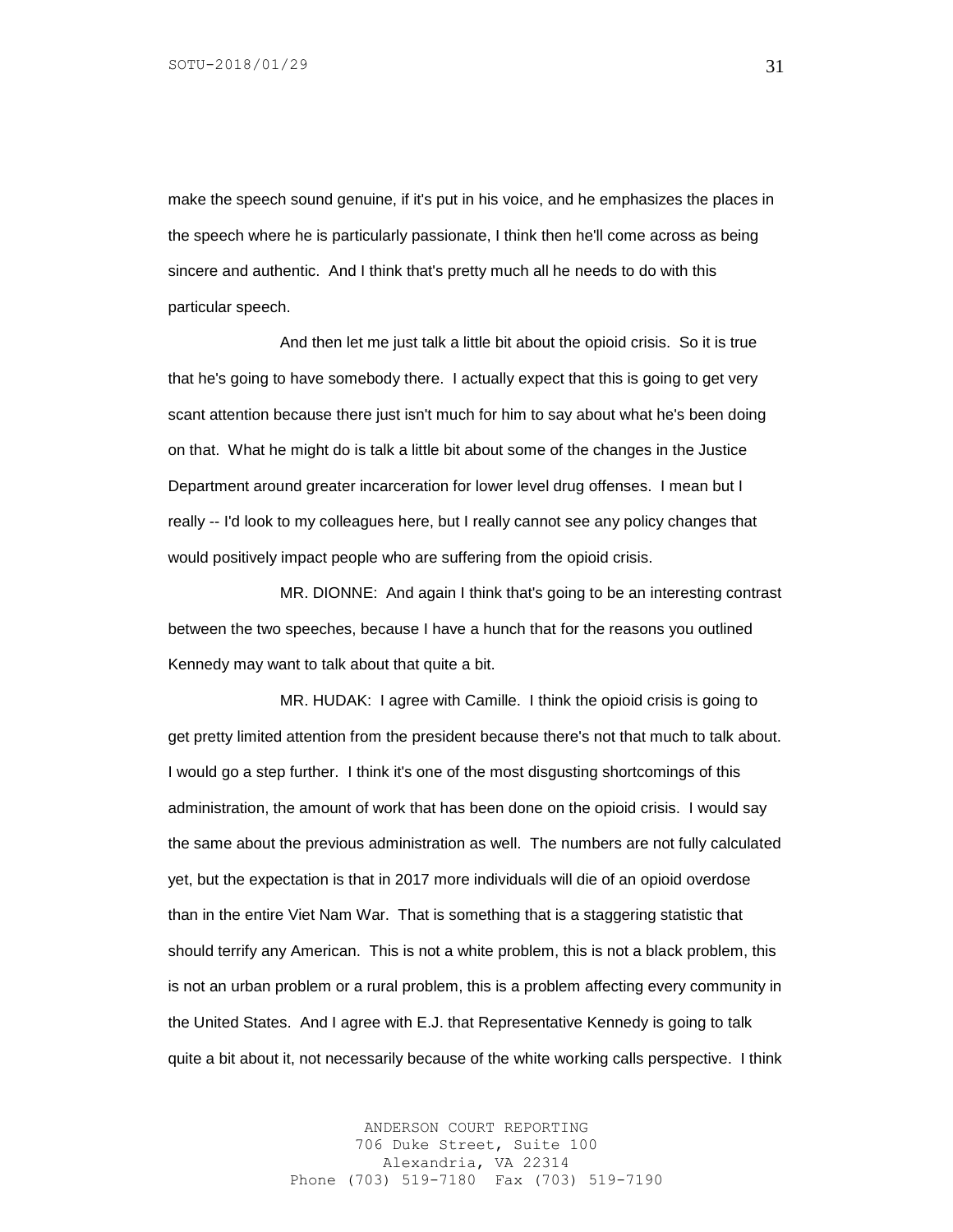make the speech sound genuine, if it's put in his voice, and he emphasizes the places in the speech where he is particularly passionate, I think then he'll come across as being sincere and authentic. And I think that's pretty much all he needs to do with this particular speech.

And then let me just talk a little bit about the opioid crisis. So it is true that he's going to have somebody there. I actually expect that this is going to get very scant attention because there just isn't much for him to say about what he's been doing on that. What he might do is talk a little bit about some of the changes in the Justice Department around greater incarceration for lower level drug offenses. I mean but I really -- I'd look to my colleagues here, but I really cannot see any policy changes that would positively impact people who are suffering from the opioid crisis.

MR. DIONNE: And again I think that's going to be an interesting contrast between the two speeches, because I have a hunch that for the reasons you outlined Kennedy may want to talk about that quite a bit.

MR. HUDAK: I agree with Camille. I think the opioid crisis is going to get pretty limited attention from the president because there's not that much to talk about. I would go a step further. I think it's one of the most disgusting shortcomings of this administration, the amount of work that has been done on the opioid crisis. I would say the same about the previous administration as well. The numbers are not fully calculated yet, but the expectation is that in 2017 more individuals will die of an opioid overdose than in the entire Viet Nam War. That is something that is a staggering statistic that should terrify any American. This is not a white problem, this is not a black problem, this is not an urban problem or a rural problem, this is a problem affecting every community in the United States. And I agree with E.J. that Representative Kennedy is going to talk quite a bit about it, not necessarily because of the white working calls perspective. I think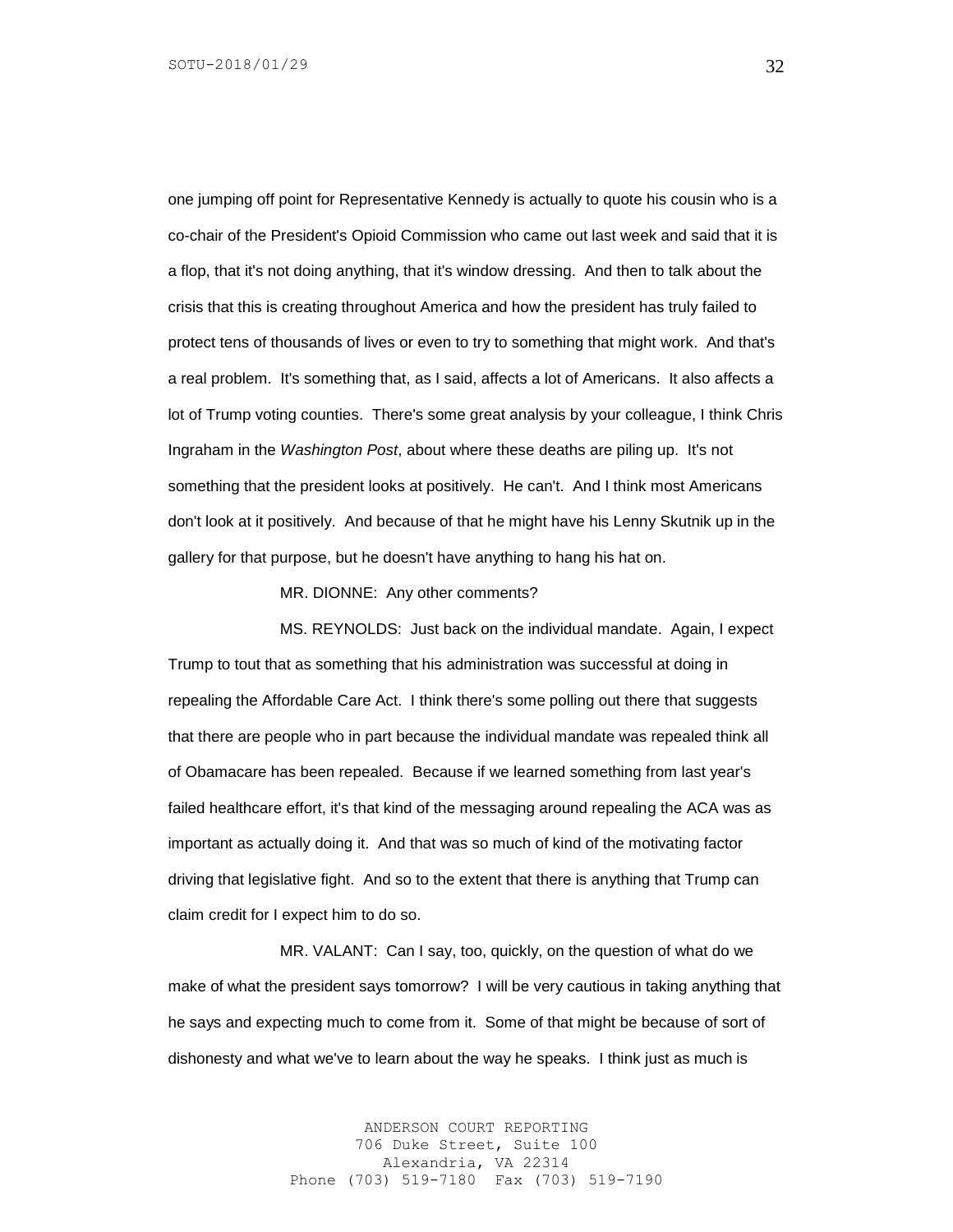one jumping off point for Representative Kennedy is actually to quote his cousin who is a co-chair of the President's Opioid Commission who came out last week and said that it is a flop, that it's not doing anything, that it's window dressing. And then to talk about the crisis that this is creating throughout America and how the president has truly failed to protect tens of thousands of lives or even to try to something that might work. And that's a real problem. It's something that, as I said, affects a lot of Americans. It also affects a lot of Trump voting counties. There's some great analysis by your colleague, I think Chris Ingraham in the *Washington Post*, about where these deaths are piling up. It's not something that the president looks at positively. He can't. And I think most Americans don't look at it positively. And because of that he might have his Lenny Skutnik up in the gallery for that purpose, but he doesn't have anything to hang his hat on.

MR. DIONNE: Any other comments?

MS. REYNOLDS: Just back on the individual mandate. Again, I expect Trump to tout that as something that his administration was successful at doing in repealing the Affordable Care Act. I think there's some polling out there that suggests that there are people who in part because the individual mandate was repealed think all of Obamacare has been repealed. Because if we learned something from last year's failed healthcare effort, it's that kind of the messaging around repealing the ACA was as important as actually doing it. And that was so much of kind of the motivating factor driving that legislative fight. And so to the extent that there is anything that Trump can claim credit for I expect him to do so.

MR. VALANT: Can I say, too, quickly, on the question of what do we make of what the president says tomorrow? I will be very cautious in taking anything that he says and expecting much to come from it. Some of that might be because of sort of dishonesty and what we've to learn about the way he speaks. I think just as much is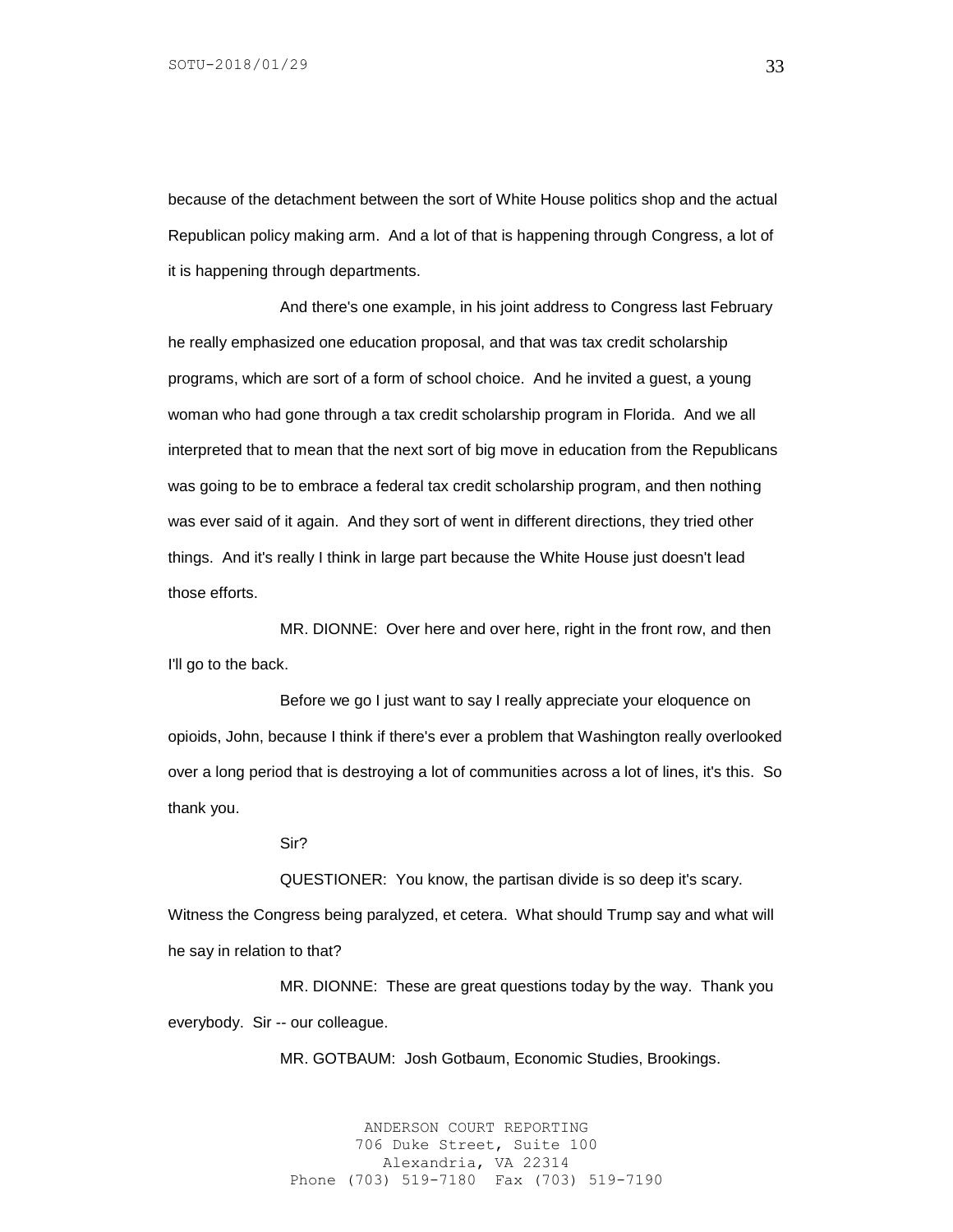because of the detachment between the sort of White House politics shop and the actual Republican policy making arm. And a lot of that is happening through Congress, a lot of it is happening through departments.

And there's one example, in his joint address to Congress last February he really emphasized one education proposal, and that was tax credit scholarship programs, which are sort of a form of school choice. And he invited a guest, a young woman who had gone through a tax credit scholarship program in Florida. And we all interpreted that to mean that the next sort of big move in education from the Republicans was going to be to embrace a federal tax credit scholarship program, and then nothing was ever said of it again. And they sort of went in different directions, they tried other things. And it's really I think in large part because the White House just doesn't lead those efforts.

MR. DIONNE: Over here and over here, right in the front row, and then I'll go to the back.

Before we go I just want to say I really appreciate your eloquence on opioids, John, because I think if there's ever a problem that Washington really overlooked over a long period that is destroying a lot of communities across a lot of lines, it's this. So thank you.

Sir?

QUESTIONER: You know, the partisan divide is so deep it's scary.

Witness the Congress being paralyzed, et cetera. What should Trump say and what will he say in relation to that?

MR. DIONNE: These are great questions today by the way. Thank you everybody. Sir -- our colleague.

MR. GOTBAUM: Josh Gotbaum, Economic Studies, Brookings.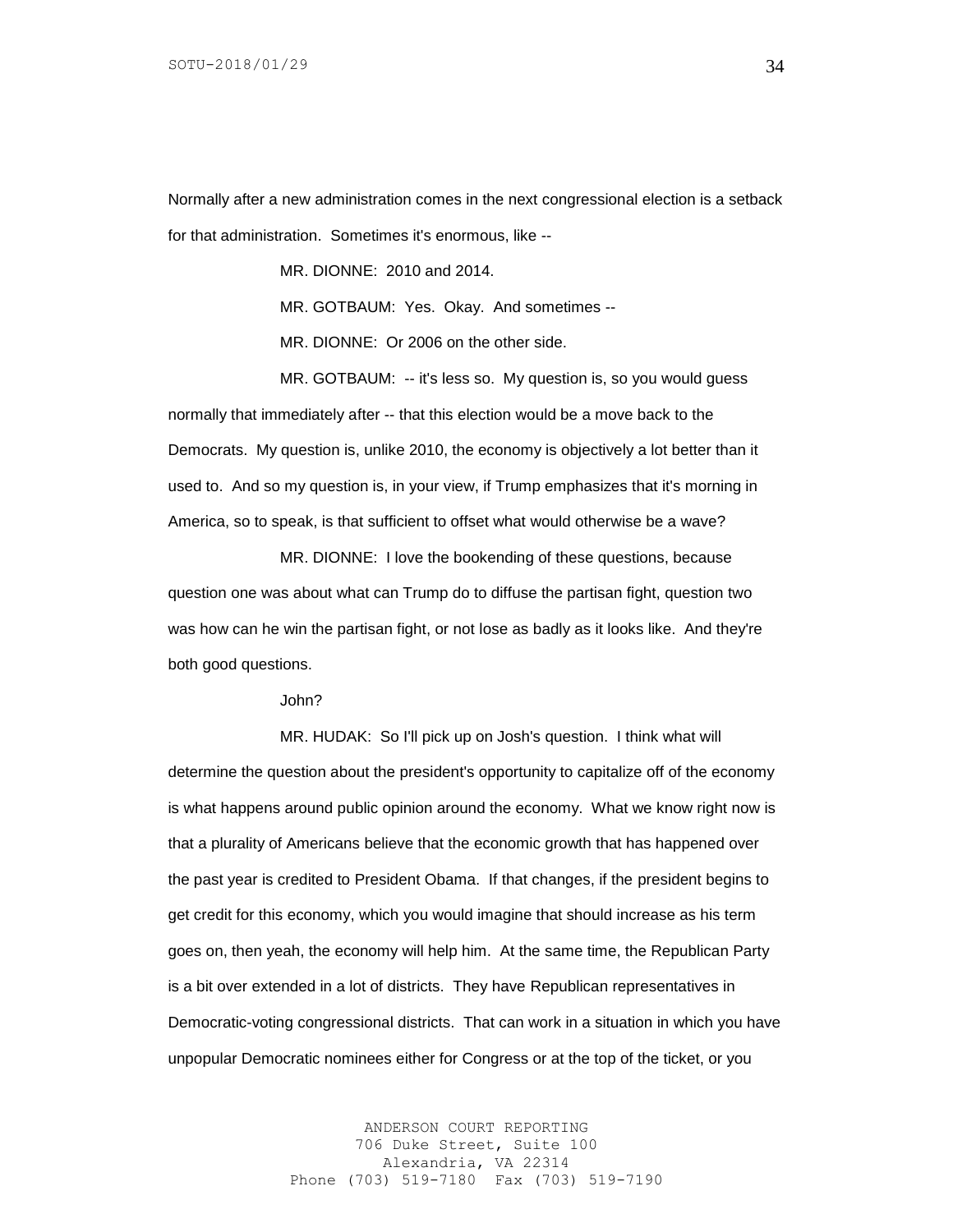Normally after a new administration comes in the next congressional election is a setback for that administration. Sometimes it's enormous, like --

MR. DIONNE: 2010 and 2014.

MR. GOTBAUM: Yes. Okay. And sometimes --

MR. DIONNE: Or 2006 on the other side.

MR. GOTBAUM: -- it's less so. My question is, so you would guess normally that immediately after -- that this election would be a move back to the Democrats. My question is, unlike 2010, the economy is objectively a lot better than it used to. And so my question is, in your view, if Trump emphasizes that it's morning in America, so to speak, is that sufficient to offset what would otherwise be a wave?

MR. DIONNE: I love the bookending of these questions, because question one was about what can Trump do to diffuse the partisan fight, question two was how can he win the partisan fight, or not lose as badly as it looks like. And they're both good questions.

John?

MR. HUDAK: So I'll pick up on Josh's question. I think what will determine the question about the president's opportunity to capitalize off of the economy is what happens around public opinion around the economy. What we know right now is that a plurality of Americans believe that the economic growth that has happened over the past year is credited to President Obama. If that changes, if the president begins to get credit for this economy, which you would imagine that should increase as his term goes on, then yeah, the economy will help him. At the same time, the Republican Party is a bit over extended in a lot of districts. They have Republican representatives in Democratic-voting congressional districts. That can work in a situation in which you have unpopular Democratic nominees either for Congress or at the top of the ticket, or you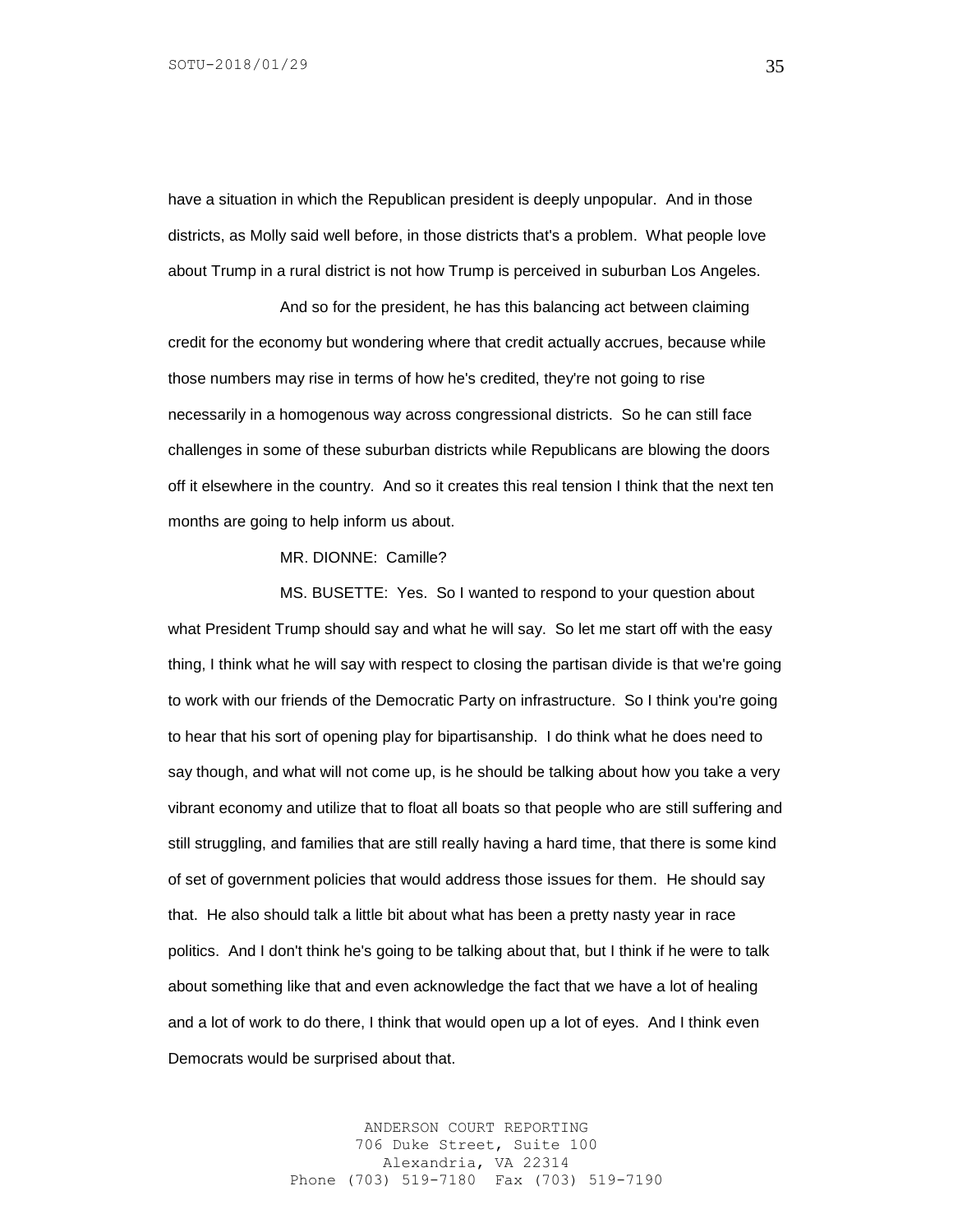have a situation in which the Republican president is deeply unpopular. And in those districts, as Molly said well before, in those districts that's a problem. What people love about Trump in a rural district is not how Trump is perceived in suburban Los Angeles.

And so for the president, he has this balancing act between claiming credit for the economy but wondering where that credit actually accrues, because while those numbers may rise in terms of how he's credited, they're not going to rise necessarily in a homogenous way across congressional districts. So he can still face challenges in some of these suburban districts while Republicans are blowing the doors off it elsewhere in the country. And so it creates this real tension I think that the next ten months are going to help inform us about.

MR. DIONNE: Camille?

MS. BUSETTE: Yes. So I wanted to respond to your question about what President Trump should say and what he will say. So let me start off with the easy thing, I think what he will say with respect to closing the partisan divide is that we're going to work with our friends of the Democratic Party on infrastructure. So I think you're going to hear that his sort of opening play for bipartisanship. I do think what he does need to say though, and what will not come up, is he should be talking about how you take a very vibrant economy and utilize that to float all boats so that people who are still suffering and still struggling, and families that are still really having a hard time, that there is some kind of set of government policies that would address those issues for them. He should say that. He also should talk a little bit about what has been a pretty nasty year in race politics. And I don't think he's going to be talking about that, but I think if he were to talk about something like that and even acknowledge the fact that we have a lot of healing and a lot of work to do there, I think that would open up a lot of eyes. And I think even Democrats would be surprised about that.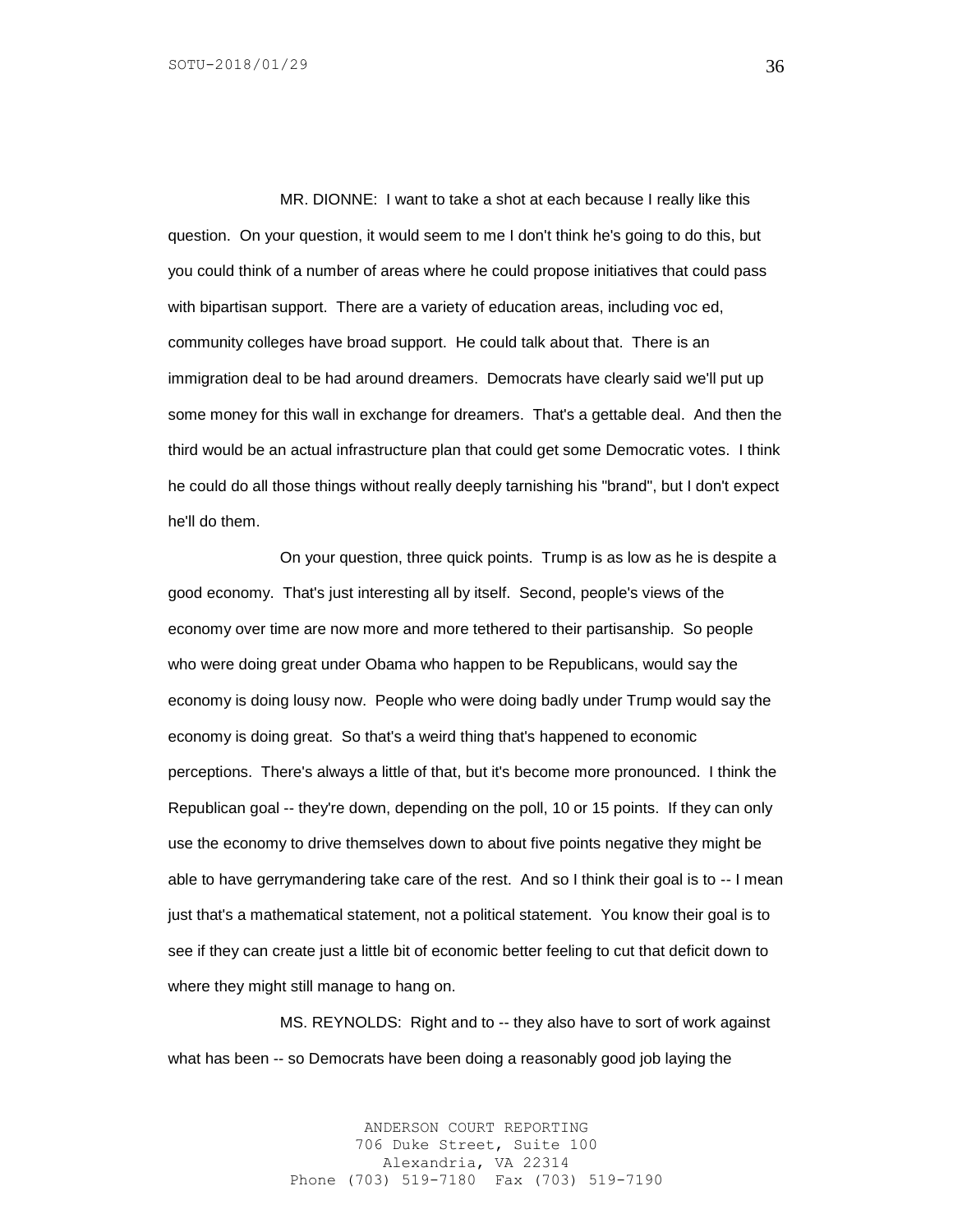MR. DIONNE: I want to take a shot at each because I really like this question. On your question, it would seem to me I don't think he's going to do this, but you could think of a number of areas where he could propose initiatives that could pass with bipartisan support. There are a variety of education areas, including voc ed, community colleges have broad support. He could talk about that. There is an immigration deal to be had around dreamers. Democrats have clearly said we'll put up some money for this wall in exchange for dreamers. That's a gettable deal. And then the third would be an actual infrastructure plan that could get some Democratic votes. I think he could do all those things without really deeply tarnishing his "brand", but I don't expect he'll do them.

On your question, three quick points. Trump is as low as he is despite a good economy. That's just interesting all by itself. Second, people's views of the economy over time are now more and more tethered to their partisanship. So people who were doing great under Obama who happen to be Republicans, would say the economy is doing lousy now. People who were doing badly under Trump would say the economy is doing great. So that's a weird thing that's happened to economic perceptions. There's always a little of that, but it's become more pronounced. I think the Republican goal -- they're down, depending on the poll, 10 or 15 points. If they can only use the economy to drive themselves down to about five points negative they might be able to have gerrymandering take care of the rest. And so I think their goal is to -- I mean just that's a mathematical statement, not a political statement. You know their goal is to see if they can create just a little bit of economic better feeling to cut that deficit down to where they might still manage to hang on.

MS. REYNOLDS: Right and to -- they also have to sort of work against what has been -- so Democrats have been doing a reasonably good job laying the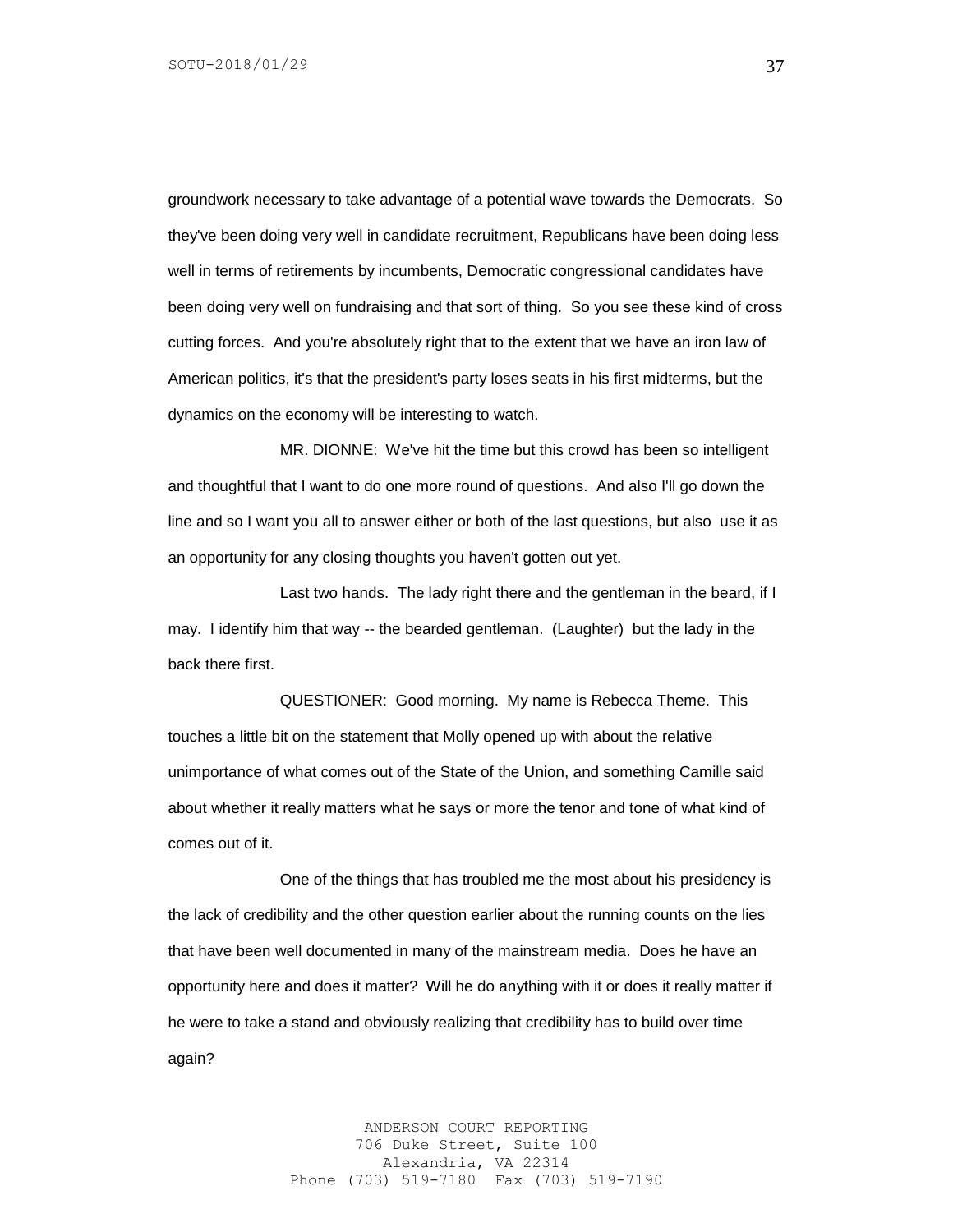groundwork necessary to take advantage of a potential wave towards the Democrats. So they've been doing very well in candidate recruitment, Republicans have been doing less well in terms of retirements by incumbents, Democratic congressional candidates have been doing very well on fundraising and that sort of thing. So you see these kind of cross cutting forces. And you're absolutely right that to the extent that we have an iron law of American politics, it's that the president's party loses seats in his first midterms, but the dynamics on the economy will be interesting to watch.

MR. DIONNE: We've hit the time but this crowd has been so intelligent and thoughtful that I want to do one more round of questions. And also I'll go down the line and so I want you all to answer either or both of the last questions, but also use it as an opportunity for any closing thoughts you haven't gotten out yet.

Last two hands. The lady right there and the gentleman in the beard, if I may. I identify him that way -- the bearded gentleman. (Laughter) but the lady in the back there first.

QUESTIONER: Good morning. My name is Rebecca Theme. This touches a little bit on the statement that Molly opened up with about the relative unimportance of what comes out of the State of the Union, and something Camille said about whether it really matters what he says or more the tenor and tone of what kind of comes out of it.

One of the things that has troubled me the most about his presidency is the lack of credibility and the other question earlier about the running counts on the lies that have been well documented in many of the mainstream media. Does he have an opportunity here and does it matter? Will he do anything with it or does it really matter if he were to take a stand and obviously realizing that credibility has to build over time again?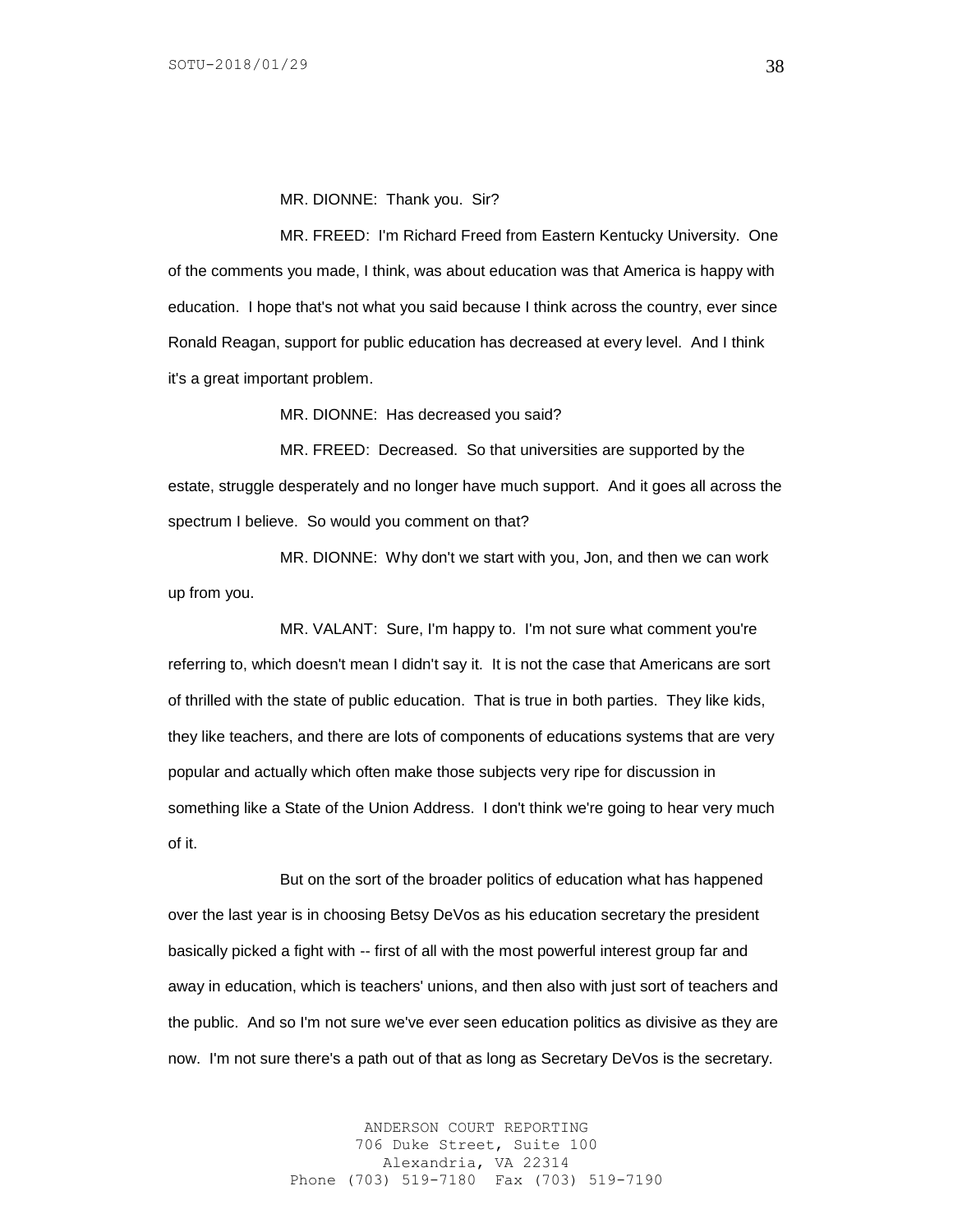MR. DIONNE: Thank you. Sir?

MR. FREED: I'm Richard Freed from Eastern Kentucky University. One of the comments you made, I think, was about education was that America is happy with education. I hope that's not what you said because I think across the country, ever since Ronald Reagan, support for public education has decreased at every level. And I think it's a great important problem.

MR. DIONNE: Has decreased you said?

MR. FREED: Decreased. So that universities are supported by the estate, struggle desperately and no longer have much support. And it goes all across the spectrum I believe. So would you comment on that?

MR. DIONNE: Why don't we start with you, Jon, and then we can work up from you.

MR. VALANT: Sure, I'm happy to. I'm not sure what comment you're referring to, which doesn't mean I didn't say it. It is not the case that Americans are sort of thrilled with the state of public education. That is true in both parties. They like kids, they like teachers, and there are lots of components of educations systems that are very popular and actually which often make those subjects very ripe for discussion in something like a State of the Union Address. I don't think we're going to hear very much of it.

But on the sort of the broader politics of education what has happened over the last year is in choosing Betsy DeVos as his education secretary the president basically picked a fight with -- first of all with the most powerful interest group far and away in education, which is teachers' unions, and then also with just sort of teachers and the public. And so I'm not sure we've ever seen education politics as divisive as they are now. I'm not sure there's a path out of that as long as Secretary DeVos is the secretary.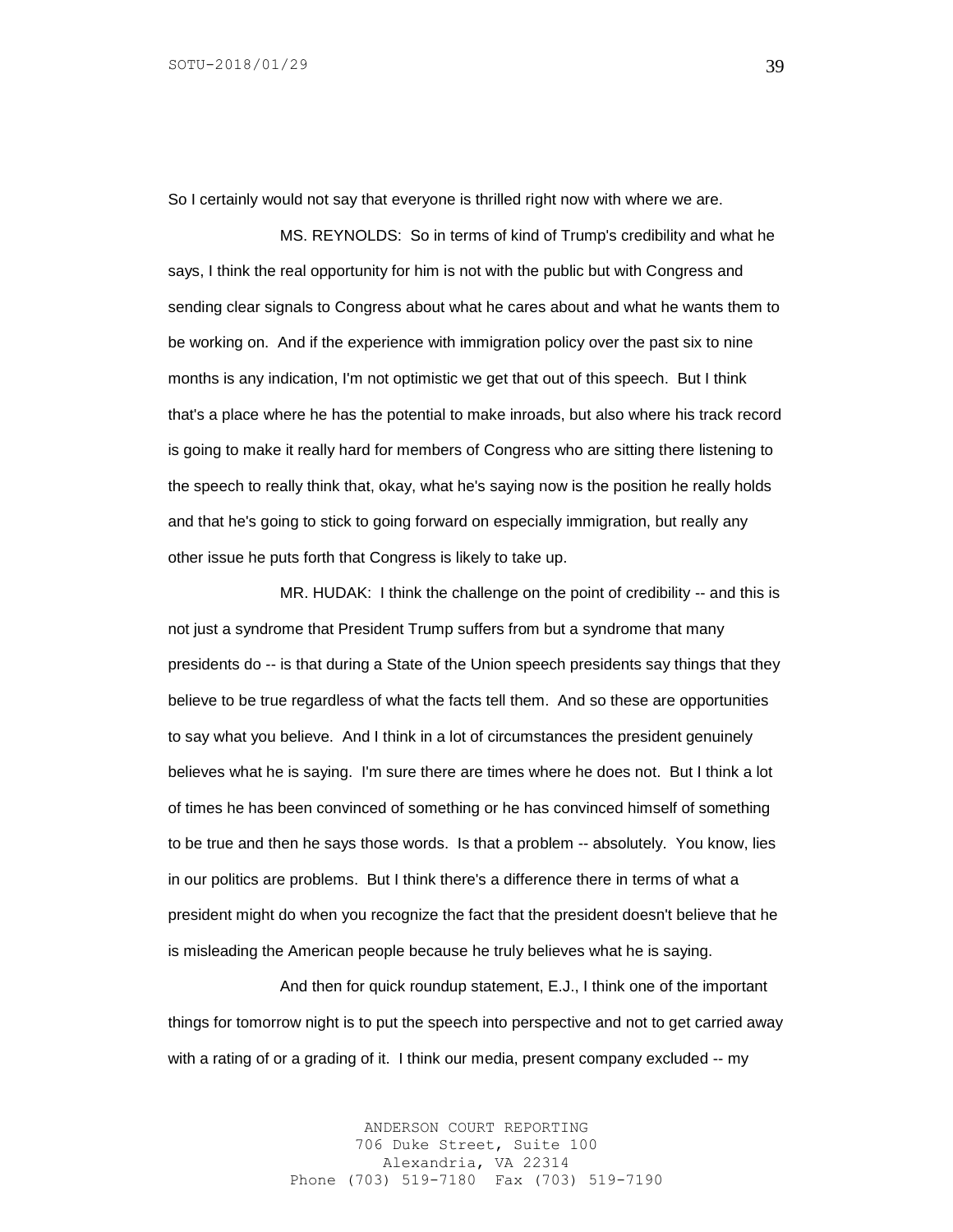So I certainly would not say that everyone is thrilled right now with where we are.

MS. REYNOLDS: So in terms of kind of Trump's credibility and what he says, I think the real opportunity for him is not with the public but with Congress and sending clear signals to Congress about what he cares about and what he wants them to be working on. And if the experience with immigration policy over the past six to nine months is any indication, I'm not optimistic we get that out of this speech. But I think that's a place where he has the potential to make inroads, but also where his track record is going to make it really hard for members of Congress who are sitting there listening to the speech to really think that, okay, what he's saying now is the position he really holds and that he's going to stick to going forward on especially immigration, but really any other issue he puts forth that Congress is likely to take up.

MR. HUDAK: I think the challenge on the point of credibility -- and this is not just a syndrome that President Trump suffers from but a syndrome that many presidents do -- is that during a State of the Union speech presidents say things that they believe to be true regardless of what the facts tell them. And so these are opportunities to say what you believe. And I think in a lot of circumstances the president genuinely believes what he is saying. I'm sure there are times where he does not. But I think a lot of times he has been convinced of something or he has convinced himself of something to be true and then he says those words. Is that a problem -- absolutely. You know, lies in our politics are problems. But I think there's a difference there in terms of what a president might do when you recognize the fact that the president doesn't believe that he is misleading the American people because he truly believes what he is saying.

And then for quick roundup statement, E.J., I think one of the important things for tomorrow night is to put the speech into perspective and not to get carried away with a rating of or a grading of it. I think our media, present company excluded -- my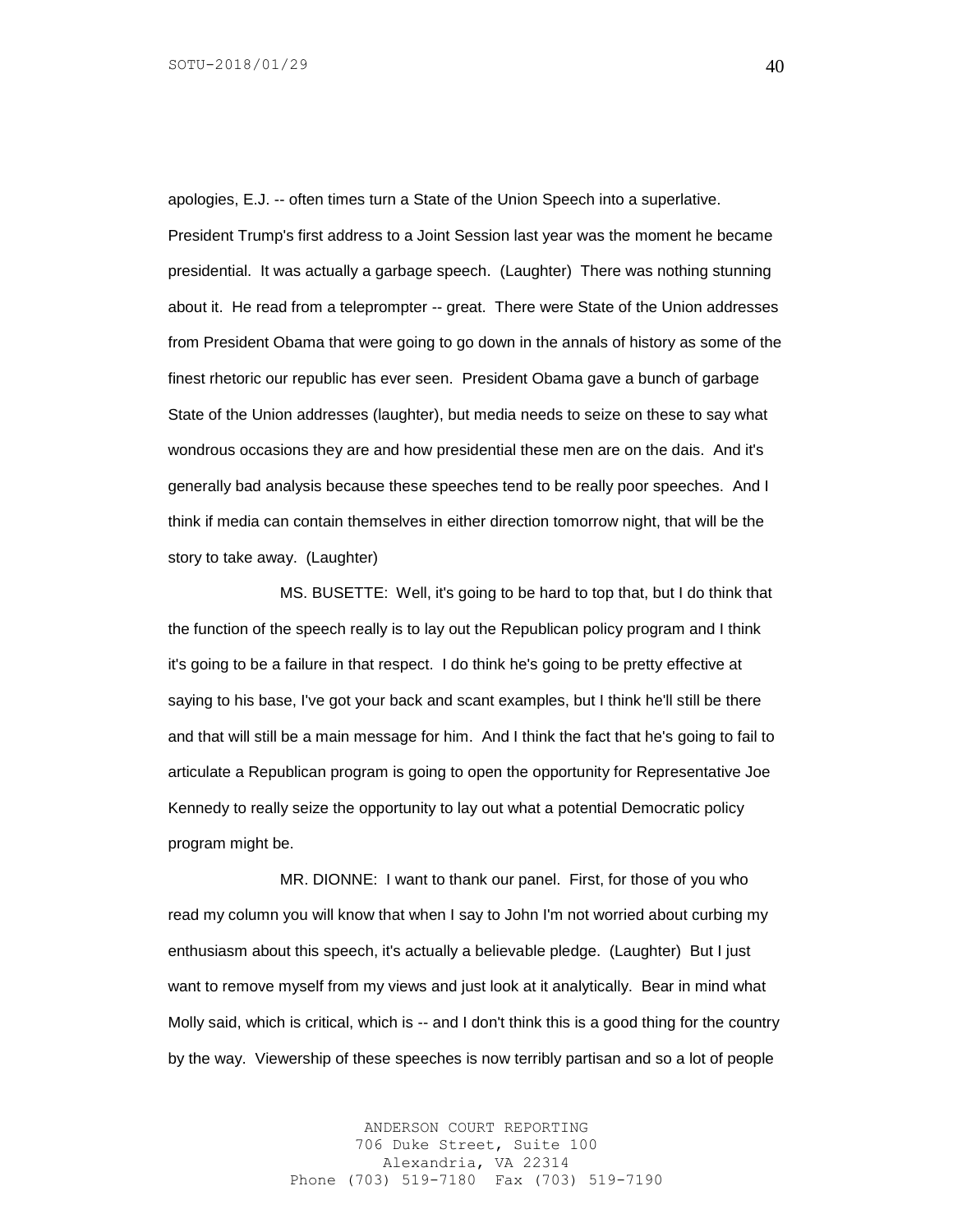apologies, E.J. -- often times turn a State of the Union Speech into a superlative. President Trump's first address to a Joint Session last year was the moment he became presidential. It was actually a garbage speech. (Laughter) There was nothing stunning about it. He read from a teleprompter -- great. There were State of the Union addresses from President Obama that were going to go down in the annals of history as some of the finest rhetoric our republic has ever seen. President Obama gave a bunch of garbage State of the Union addresses (laughter), but media needs to seize on these to say what wondrous occasions they are and how presidential these men are on the dais. And it's generally bad analysis because these speeches tend to be really poor speeches. And I think if media can contain themselves in either direction tomorrow night, that will be the story to take away. (Laughter)

MS. BUSETTE: Well, it's going to be hard to top that, but I do think that the function of the speech really is to lay out the Republican policy program and I think it's going to be a failure in that respect. I do think he's going to be pretty effective at saying to his base, I've got your back and scant examples, but I think he'll still be there and that will still be a main message for him. And I think the fact that he's going to fail to articulate a Republican program is going to open the opportunity for Representative Joe Kennedy to really seize the opportunity to lay out what a potential Democratic policy program might be.

MR. DIONNE: I want to thank our panel. First, for those of you who read my column you will know that when I say to John I'm not worried about curbing my enthusiasm about this speech, it's actually a believable pledge. (Laughter) But I just want to remove myself from my views and just look at it analytically. Bear in mind what Molly said, which is critical, which is -- and I don't think this is a good thing for the country by the way. Viewership of these speeches is now terribly partisan and so a lot of people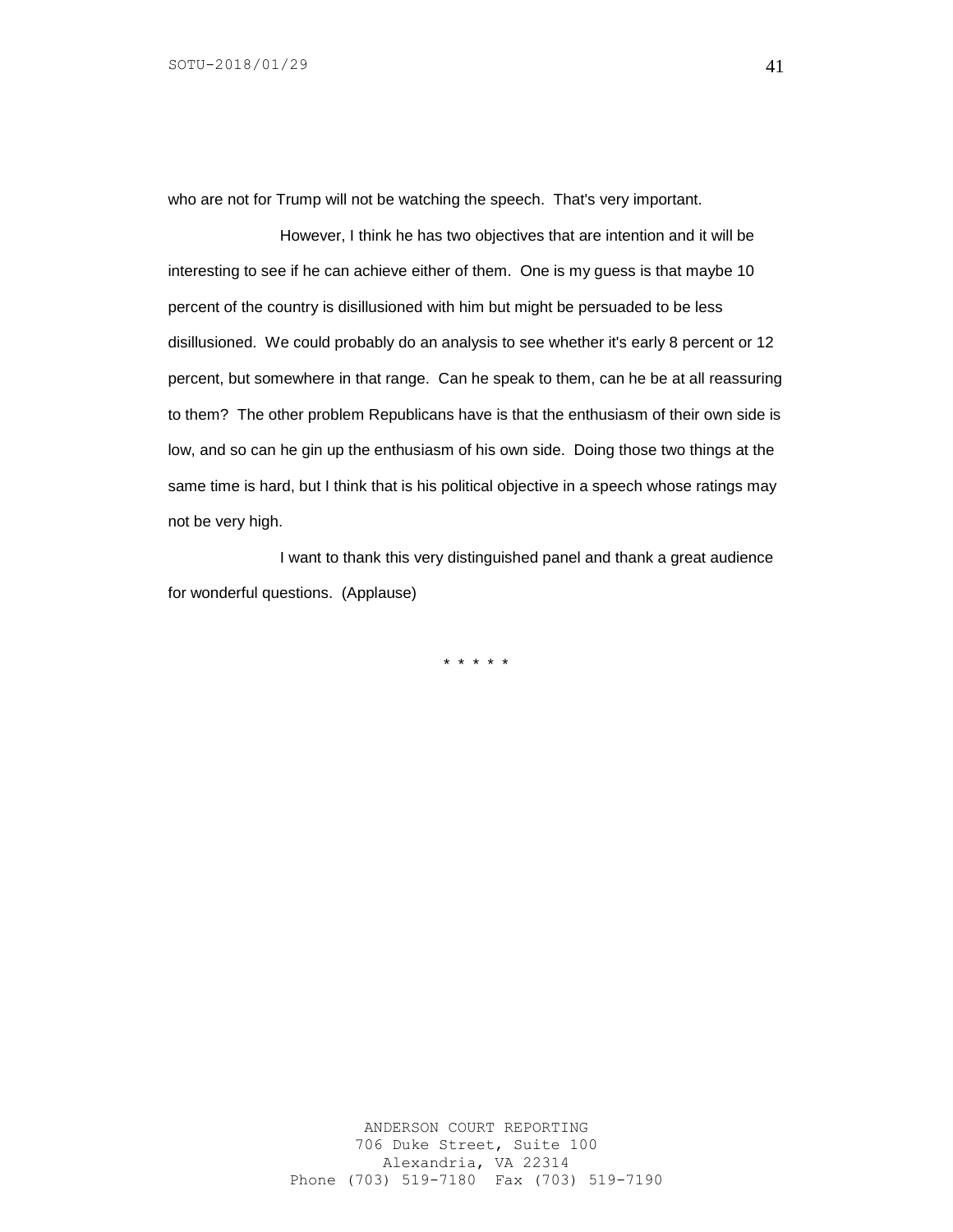who are not for Trump will not be watching the speech. That's very important.

However, I think he has two objectives that are intention and it will be interesting to see if he can achieve either of them. One is my guess is that maybe 10 percent of the country is disillusioned with him but might be persuaded to be less disillusioned. We could probably do an analysis to see whether it's early 8 percent or 12 percent, but somewhere in that range. Can he speak to them, can he be at all reassuring to them? The other problem Republicans have is that the enthusiasm of their own side is low, and so can he gin up the enthusiasm of his own side. Doing those two things at the same time is hard, but I think that is his political objective in a speech whose ratings may not be very high.

I want to thank this very distinguished panel and thank a great audience for wonderful questions. (Applause)

\* \* \* \* \*